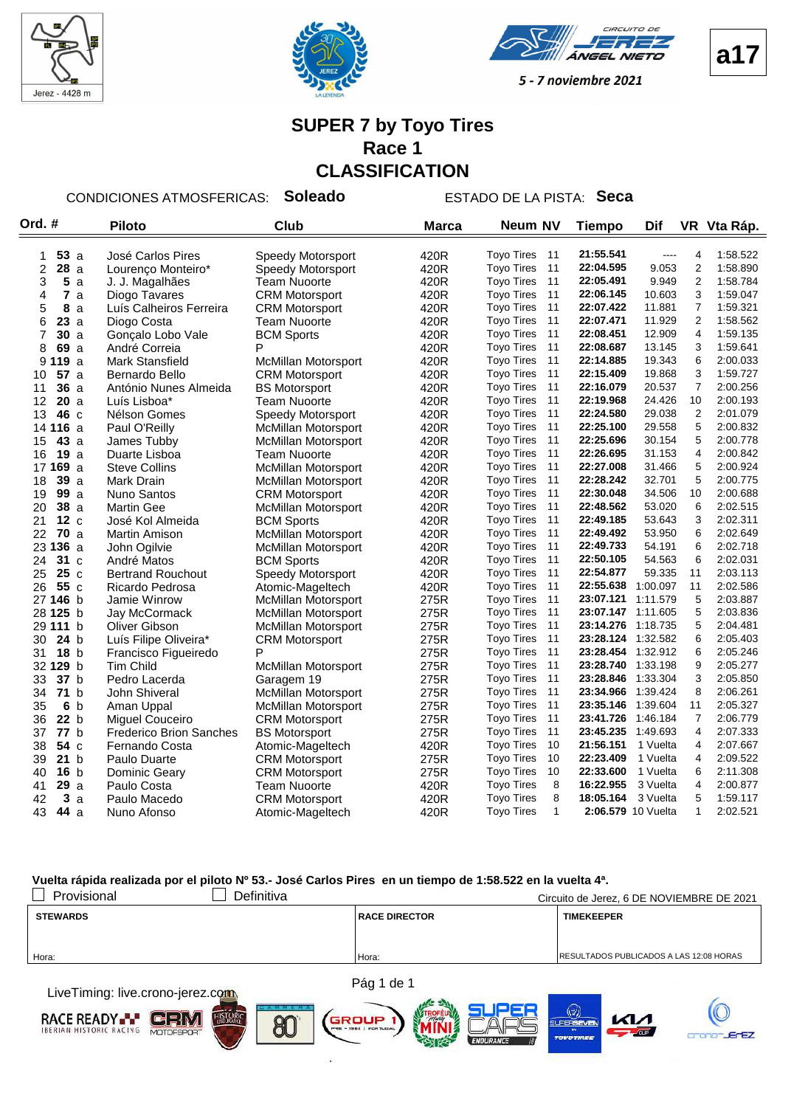



**VEEL NIETO** 



5 - 7 noviembre 2021

#### **SUPER 7 by Toyo Tires Race 1 CLASSIFICATION**

#### CONDICIONES ATMOSFERICAS: **Soleado** ESTADO DE LA PISTA: **Seca**

| Ord. #                | <b>Piloto</b>                  | Club                       | <b>Marca</b> | Neum NV                                      | <b>Tiempo</b>      | Dif              |                | VR Vta Ráp.          |
|-----------------------|--------------------------------|----------------------------|--------------|----------------------------------------------|--------------------|------------------|----------------|----------------------|
| 53a                   | José Carlos Pires              | Speedy Motorsport          | 420R         | <b>Toyo Tires</b><br>11                      | 21:55.541          | ----             | 4              | 1:58.522             |
| 1<br>2<br>28a         |                                | Speedy Motorsport          | 420R         | <b>Toyo Tires</b><br>11                      | 22:04.595          | 9.053            | 2              | 1:58.890             |
| 3<br>5                | Lourenço Monteiro*             | <b>Team Nuoorte</b>        | 420R         | <b>Toyo Tires</b><br>11                      | 22:05.491          | 9.949            | $\overline{2}$ | 1:58.784             |
| a<br>7                | J. J. Magalhães                |                            | 420R         | <b>Toyo Tires</b><br>11                      | 22:06.145          | 10.603           | 3              | 1:59.047             |
| 4<br>a<br>8           | Diogo Tavares                  | <b>CRM Motorsport</b>      |              | 11<br><b>Toyo Tires</b>                      | 22:07.422          | 11.881           | $\overline{7}$ | 1:59.321             |
| 5<br>a                | Luís Calheiros Ferreira        | <b>CRM Motorsport</b>      | 420R         | 11<br><b>Toyo Tires</b>                      | 22:07.471          | 11.929           | $\overline{c}$ | 1:58.562             |
| 6<br>23a              | Diogo Costa                    | <b>Team Nuoorte</b>        | 420R         | 11                                           | 22:08.451          | 12.909           | $\overline{4}$ | 1:59.135             |
| 7<br>30a              | Gonçalo Lobo Vale              | <b>BCM Sports</b><br>P     | 420R         | <b>Toyo Tires</b><br>11<br><b>Toyo Tires</b> | 22:08.687          |                  | 3              |                      |
| 8<br>69 a             | André Correia                  |                            | 420R         | 11<br><b>Toyo Tires</b>                      | 22:14.885          | 13.145<br>19.343 | 6              | 1:59.641<br>2:00.033 |
| 9<br>119 a            | <b>Mark Stansfield</b>         | <b>McMillan Motorsport</b> | 420R         | 11                                           |                    | 19.868           | 3              | 1:59.727             |
| <b>57</b> a<br>10     | Bernardo Bello                 | <b>CRM Motorsport</b>      | 420R         | <b>Toyo Tires</b><br>11                      | 22:15.409          |                  | $\overline{7}$ |                      |
| 36a<br>11             | António Nunes Almeida          | <b>BS Motorsport</b>       | 420R         | <b>Toyo Tires</b>                            | 22:16.079          | 20.537           |                | 2:00.256             |
| 20a<br>12             | Luís Lisboa*                   | <b>Team Nuoorte</b>        | 420R         | <b>Toyo Tires</b><br>11                      | 22:19.968          | 24.426           | 10             | 2:00.193             |
| 13<br>46 c            | Nélson Gomes                   | Speedy Motorsport          | 420R         | <b>Toyo Tires</b><br>11                      | 22:24.580          | 29.038           | $\overline{2}$ | 2:01.079             |
| 14 116 a              | Paul O'Reilly                  | <b>McMillan Motorsport</b> | 420R         | 11<br><b>Toyo Tires</b>                      | 22:25.100          | 29.558           | 5              | 2:00.832             |
| 43 a<br>15            | James Tubby                    | <b>McMillan Motorsport</b> | 420R         | <b>Toyo Tires</b><br>11                      | 22:25.696          | 30.154           | 5              | 2:00.778             |
| <b>19</b> a<br>16     | Duarte Lisboa                  | Team Nuoorte               | 420R         | 11<br><b>Toyo Tires</b>                      | 22:26.695          | 31.153           | $\overline{4}$ | 2:00.842             |
| 17 169 a              | <b>Steve Collins</b>           | <b>McMillan Motorsport</b> | 420R         | 11<br><b>Toyo Tires</b>                      | 22:27.008          | 31.466           | 5              | 2:00.924             |
| 39 a<br>18            | Mark Drain                     | McMillan Motorsport        | 420R         | <b>Toyo Tires</b><br>11                      | 22:28.242          | 32.701           | 5              | 2:00.775             |
| 99a<br>19             | Nuno Santos                    | <b>CRM Motorsport</b>      | 420R         | 11<br><b>Toyo Tires</b>                      | 22:30.048          | 34.506           | 10             | 2:00.688             |
| 38a<br>20             | <b>Martin Gee</b>              | <b>McMillan Motorsport</b> | 420R         | <b>Toyo Tires</b><br>11                      | 22:48.562          | 53.020           | 6              | 2:02.515             |
| 12c<br>21             | José Kol Almeida               | <b>BCM Sports</b>          | 420R         | <b>Toyo Tires</b><br>11                      | 22:49.185          | 53.643           | 3              | 2:02.311             |
| <b>70</b> a<br>22     | <b>Martin Amison</b>           | <b>McMillan Motorsport</b> | 420R         | 11<br><b>Toyo Tires</b>                      | 22:49.492          | 53.950           | 6              | 2:02.649             |
| 23 136 a              | John Ogilvie                   | <b>McMillan Motorsport</b> | 420R         | <b>Toyo Tires</b><br>11                      | 22:49.733          | 54.191           | 6              | 2:02.718             |
| 31 <sub>c</sub><br>24 | André Matos                    | <b>BCM Sports</b>          | 420R         | 11<br><b>Toyo Tires</b>                      | 22:50.105          | 54.563           | 6              | 2:02.031             |
| 25<br>25c             | <b>Bertrand Rouchout</b>       | <b>Speedy Motorsport</b>   | 420R         | 11<br><b>Toyo Tires</b>                      | 22:54.877          | 59.335           | 11             | 2:03.113             |
| 26<br>55 c            | Ricardo Pedrosa                | Atomic-Mageltech           | 420R         | <b>Toyo Tires</b><br>11                      | 22:55.638          | 1:00.097         | 11             | 2:02.586             |
| 27 146 b              | Jamie Winrow                   | <b>McMillan Motorsport</b> | 275R         | 11<br><b>Toyo Tires</b>                      | 23:07.121 1:11.579 |                  | 5              | 2:03.887             |
| 28 125 b              | Jay McCormack                  | McMillan Motorsport        | 275R         | <b>Toyo Tires</b><br>11                      | 23:07.147 1:11.605 |                  | 5              | 2:03.836             |
| 29 111 b              | Oliver Gibson                  | <b>McMillan Motorsport</b> | 275R         | 11<br><b>Toyo Tires</b>                      | 23:14.276          | 1:18.735         | 5              | 2:04.481             |
| 24 <sub>b</sub><br>30 | Luís Filipe Oliveira*          | <b>CRM Motorsport</b>      | 275R         | <b>Toyo Tires</b><br>11                      | 23:28.124 1:32.582 |                  | 6              | 2:05.403             |
| 18 <sub>b</sub><br>31 | Francisco Figueiredo           | P                          | 275R         | 11<br><b>Toyo Tires</b>                      | 23:28.454 1:32.912 |                  | 6              | 2:05.246             |
| 32 129 b              | <b>Tim Child</b>               | <b>McMillan Motorsport</b> | 275R         | 11<br><b>Toyo Tires</b>                      | 23:28.740 1:33.198 |                  | 9              | 2:05.277             |
| 37 b<br>33            | Pedro Lacerda                  | Garagem 19                 | 275R         | <b>Toyo Tires</b><br>11                      | 23:28.846 1:33.304 |                  | 3              | 2:05.850             |
| 34<br>71 b            | John Shiveral                  | McMillan Motorsport        | 275R         | 11<br><b>Toyo Tires</b>                      | 23:34.966          | 1:39.424         | 8              | 2:06.261             |
| 35<br>6 <sub>b</sub>  | Aman Uppal                     | <b>McMillan Motorsport</b> | 275R         | <b>Toyo Tires</b><br>11                      | 23:35.146          | 1:39.604         | 11             | 2:05.327             |
| 36<br>22 b            | <b>Miguel Couceiro</b>         | <b>CRM Motorsport</b>      | 275R         | <b>Toyo Tires</b><br>11                      | 23:41.726          | 1:46.184         | $\overline{7}$ | 2:06.779             |
| 77 b<br>37            | <b>Frederico Brion Sanches</b> | <b>BS Motorsport</b>       | 275R         | <b>Toyo Tires</b><br>11                      | 23:45.235          | 1:49.693         | $\overline{4}$ | 2:07.333             |
| 54 c<br>38            | Fernando Costa                 | Atomic-Mageltech           | 420R         | <b>Toyo Tires</b><br>10                      | 21:56.151          | 1 Vuelta         | $\overline{4}$ | 2:07.667             |
| 21 b<br>39            | Paulo Duarte                   | <b>CRM Motorsport</b>      | 275R         | <b>Toyo Tires</b><br>10                      | 22:23.409          | 1 Vuelta         | 4              | 2:09.522             |
| 16 <sub>b</sub><br>40 | <b>Dominic Geary</b>           | <b>CRM Motorsport</b>      | 275R         | <b>Toyo Tires</b><br>10                      | 22:33.600          | 1 Vuelta         | 6              | 2:11.308             |
| 29a<br>41             | Paulo Costa                    | <b>Team Nuoorte</b>        | 420R         | 8<br><b>Toyo Tires</b>                       | 16:22.955          | 3 Vuelta         | 4              | 2:00.877             |
| 3a<br>42              | Paulo Macedo                   | <b>CRM Motorsport</b>      | 420R         | 8<br><b>Toyo Tires</b>                       | 18:05.164          | 3 Vuelta         | 5              | 1:59.117             |
| 43<br>44 a            | Nuno Afonso                    | Atomic-Mageltech           | 420R         | <b>Toyo Tires</b><br>$\mathbf{1}$            | 2:06.579 10 Vuelta |                  | $\mathbf{1}$   | 2:02.521             |

#### **Vuelta rápida realizada por el piloto Nº 53.- José Carlos Pires en un tiempo de 1:58.522 en la vuelta 4ª.**

| Provisional     | Definitiva |                        | Circuito de Jerez, 6 DE NOVIEMBRE DE 2021 |
|-----------------|------------|------------------------|-------------------------------------------|
| <b>STEWARDS</b> |            | <b>RACE DIRECTOR</b>   | <b>TIMEKEEPER</b>                         |
|                 |            |                        |                                           |
|                 |            |                        |                                           |
| Hora:           |            | Hora:                  | RESULTADOS PUBLICADOS A LAS 12:08 HORAS   |
|                 |            |                        |                                           |
|                 |            | $\sum_{i=1}^{n} A_{i}$ |                                           |

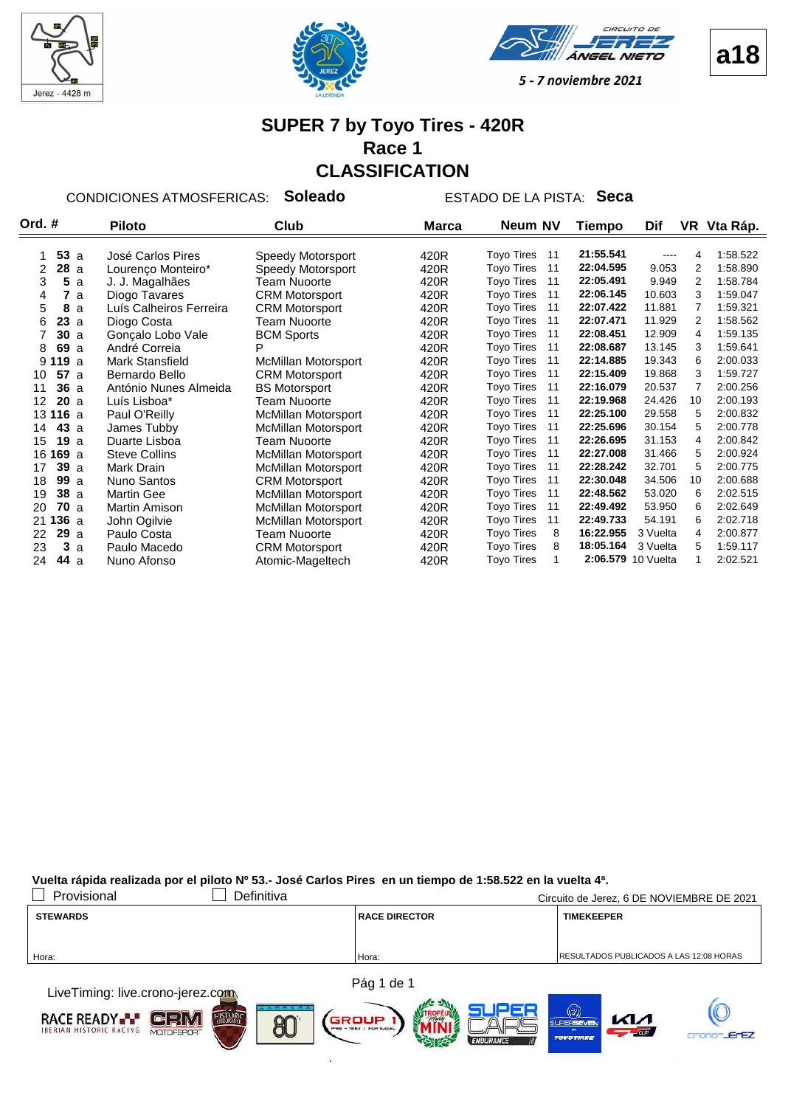







#### **SUPER 7 by Toyo Tires - 420R Race 1 CLASSIFICATION**

CONDICIONES ATMOSFERICAS: **Soleado** ESTADO DE LA PISTA: **Seca**

| Ord. #     | <b>Piloto</b>           | <b>Club</b>           | <b>Marca</b> | Neum NV                 | Tiempo    | Dif                |    | VR Vta Ráp. |  |
|------------|-------------------------|-----------------------|--------------|-------------------------|-----------|--------------------|----|-------------|--|
|            |                         |                       |              |                         |           |                    |    |             |  |
| 53a        | José Carlos Pires       | Speedy Motorsport     | 420R         | <b>Toyo Tires</b><br>11 | 21:55.541 |                    | 4  | 1:58.522    |  |
| 28a<br>2   | Lourenço Monteiro*      | Speedy Motorsport     | 420R         | <b>Toyo Tires</b><br>11 | 22:04.595 | 9.053              | 2  | 1:58.890    |  |
| 3<br>5a    | J. J. Magalhães         | Team Nuoorte          | 420R         | <b>Toyo Tires</b><br>11 | 22:05.491 | 9.949              | 2  | 1:58.784    |  |
| 7a<br>4    | Diogo Tavares           | <b>CRM Motorsport</b> | 420R         | <b>Toyo Tires</b><br>11 | 22:06.145 | 10.603             | 3  | 1:59.047    |  |
| 5<br>8a    | Luís Calheiros Ferreira | <b>CRM Motorsport</b> | 420R         | <b>Toyo Tires</b><br>11 | 22:07.422 | 11.881             |    | 1:59.321    |  |
| 23a<br>6   | Diogo Costa             | Team Nuoorte          | 420R         | <b>Toyo Tires</b><br>11 | 22:07.471 | 11.929             | 2  | 1:58.562    |  |
| 30a        | Gonçalo Lobo Vale       | <b>BCM Sports</b>     | 420R         | <b>Toyo Tires</b><br>11 | 22:08.451 | 12.909             | 4  | 1:59.135    |  |
| 8<br>69 a  | André Correia           | P                     | 420R         | <b>Toyo Tires</b><br>11 | 22:08.687 | 13.145             | 3  | 1:59.641    |  |
| 9119a      | Mark Stansfield         | McMillan Motorsport   | 420R         | <b>Toyo Tires</b><br>11 | 22:14.885 | 19.343             | 6  | 2:00.033    |  |
| 57a<br>10  | Bernardo Bello          | <b>CRM Motorsport</b> | 420R         | <b>Toyo Tires</b><br>11 | 22:15.409 | 19.868             | 3  | 1:59.727    |  |
| 36a<br>11  | António Nunes Almeida   | <b>BS Motorsport</b>  | 420R         | <b>Toyo Tires</b><br>11 | 22:16.079 | 20.537             |    | 2:00.256    |  |
| 20a<br>12  | Luís Lisboa*            | Team Nuoorte          | 420R         | <b>Toyo Tires</b><br>11 | 22:19.968 | 24.426             | 10 | 2:00.193    |  |
| 13 116 a   | Paul O'Reilly           | McMillan Motorsport   | 420R         | <b>Toyo Tires</b><br>11 | 22:25.100 | 29.558             | 5  | 2:00.832    |  |
| 43a<br>14  | James Tubby             | McMillan Motorsport   | 420R         | <b>Toyo Tires</b><br>11 | 22:25.696 | 30.154             | 5  | 2:00.778    |  |
| 19a<br>15  | Duarte Lisboa           | Team Nuoorte          | 420R         | <b>Toyo Tires</b><br>11 | 22:26.695 | 31.153             | 4  | 2:00.842    |  |
| 16 169 a   | <b>Steve Collins</b>    | McMillan Motorsport   | 420R         | <b>Toyo Tires</b><br>11 | 22:27.008 | 31.466             | 5  | 2:00.924    |  |
| 39a<br>17  | Mark Drain              | McMillan Motorsport   | 420R         | <b>Toyo Tires</b><br>11 | 22:28.242 | 32.701             | 5  | 2:00.775    |  |
| 99a<br>18  | Nuno Santos             | <b>CRM Motorsport</b> | 420R         | <b>Toyo Tires</b><br>11 | 22:30.048 | 34.506             | 10 | 2:00.688    |  |
| 38a<br>19  | <b>Martin Gee</b>       | McMillan Motorsport   | 420R         | <b>Toyo Tires</b><br>11 | 22:48.562 | 53.020             | 6  | 2:02.515    |  |
| 70a<br>20  | Martin Amison           | McMillan Motorsport   | 420R         | <b>Toyo Tires</b><br>11 | 22:49.492 | 53.950             | 6  | 2:02.649    |  |
| 136a<br>21 | John Ogilvie            | McMillan Motorsport   | 420R         | <b>Toyo Tires</b><br>11 | 22:49.733 | 54.191             | 6  | 2:02.718    |  |
| 29a<br>22  | Paulo Costa             | Team Nuoorte          | 420R         | <b>Toyo Tires</b><br>8  | 16:22.955 | 3 Vuelta           | 4  | 2:00.877    |  |
| 3a<br>23   | Paulo Macedo            | <b>CRM Motorsport</b> | 420R         | <b>Toyo Tires</b><br>8  | 18:05.164 | 3 Vuelta           | 5  | 1.59.117    |  |
| 44 a<br>24 | Nuno Afonso             | Atomic-Mageltech      | 420R         | <b>Toyo Tires</b>       |           | 2:06.579 10 Vuelta |    | 2:02.521    |  |

**Vuelta rápida realizada por el piloto Nº 53.- José Carlos Pires en un tiempo de 1:58.522 en la vuelta 4ª.**

| Provisional                                   | Definitiva |                      | Circuito de Jerez, 6 DE NOVIEMBRE DE 2021       |
|-----------------------------------------------|------------|----------------------|-------------------------------------------------|
| <b>STEWARDS</b>                               |            | <b>RACE DIRECTOR</b> | <b>TIMEKEEPER</b>                               |
|                                               |            |                      |                                                 |
| Hora:                                         |            | Hora:                | <b>IRESULTADOS PUBLICADOS A LAS 12:08 HORAS</b> |
|                                               |            |                      |                                                 |
| t broe⊤beethean three analysis tanger a like. |            | Pág 1 de 1           |                                                 |

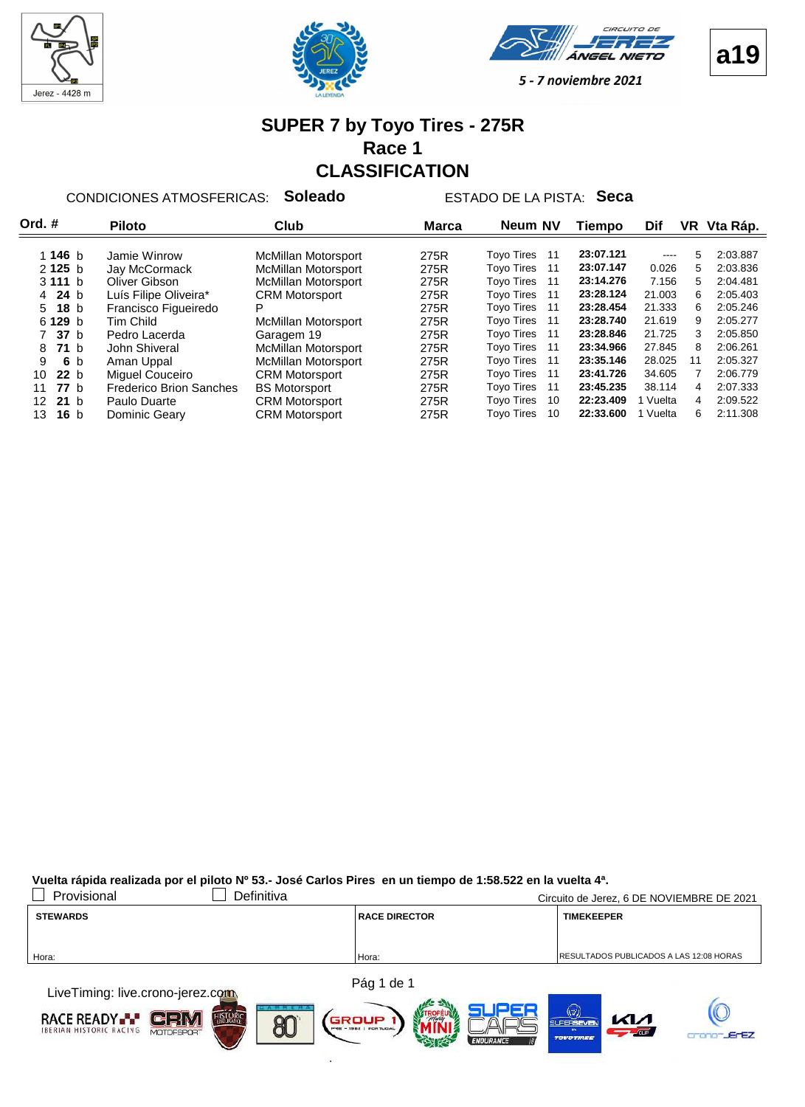







#### **SUPER 7 by Toyo Tires - 275R Race 1 CLASSIFICATION**

CONDICIONES ATMOSFERICAS: **Soleado** ESTADO DE LA PISTA: **Seca**

| Ord. #                | <b>Piloto</b>                  | Club                       | <b>Marca</b> | Neum NV                  | Tiempo    | Dif                                                                                                                       | VR | Vta Ráp. |
|-----------------------|--------------------------------|----------------------------|--------------|--------------------------|-----------|---------------------------------------------------------------------------------------------------------------------------|----|----------|
|                       |                                |                            |              |                          |           |                                                                                                                           |    |          |
| 1 146 $b$             | Jamie Winrow                   | McMillan Motorsport        | 275R         | <b>Toyo Tires</b><br>-11 | 23:07.121 | $\frac{1}{2} \left( \frac{1}{2} \right) \left( \frac{1}{2} \right) \left( \frac{1}{2} \right) \left( \frac{1}{2} \right)$ | 5  | 2:03.887 |
| 2125 <sub>b</sub>     | Jay McCormack                  | <b>McMillan Motorsport</b> | 275R         | <b>Toyo Tires</b><br>11  | 23:07.147 | 0.026                                                                                                                     | 5  | 2:03.836 |
| 3111 b                | Oliver Gibson                  | <b>McMillan Motorsport</b> | 275R         | <b>Toyo Tires</b><br>11  | 23:14.276 | 7.156                                                                                                                     | 5  | 2:04.481 |
| 4 24 b                | Luís Filipe Oliveira*          | <b>CRM Motorsport</b>      | 275R         | <b>Tovo Tires</b><br>11  | 23:28.124 | 21.003                                                                                                                    | 6  | 2:05.403 |
| 18 <sub>b</sub><br>5  | Francisco Figueiredo           | P                          | 275R         | <b>Toyo Tires</b><br>11  | 23:28.454 | 21.333                                                                                                                    | 6  | 2:05.246 |
| 6 129 b               | Tim Child                      | <b>McMillan Motorsport</b> | 275R         | <b>Toyo Tires</b><br>11  | 23:28.740 | 21.619                                                                                                                    | 9  | 2:05.277 |
| 7 37 b                | Pedro Lacerda                  | Garagem 19                 | 275R         | <b>Toyo Tires</b><br>11  | 23:28.846 | 21.725                                                                                                                    | 3  | 2:05.850 |
| 71 <sub>b</sub><br>8  | John Shiveral                  | <b>McMillan Motorsport</b> | 275R         | <b>Tovo Tires</b><br>11  | 23:34.966 | 27.845                                                                                                                    | 8  | 2:06.261 |
| 9<br>6 b              | Aman Uppal                     | <b>McMillan Motorsport</b> | 275R         | <b>Toyo Tires</b><br>11  | 23:35.146 | 28.025                                                                                                                    | 11 | 2:05.327 |
| 22 b<br>10            | Miguel Couceiro                | <b>CRM Motorsport</b>      | 275R         | <b>Toyo Tires</b><br>11  | 23:41.726 | 34.605                                                                                                                    |    | 2:06.779 |
| 77h<br>11             | <b>Frederico Brion Sanches</b> | <b>BS Motorsport</b>       | 275R         | <b>Tovo Tires</b><br>11  | 23:45.235 | 38.114                                                                                                                    | 4  | 2:07.333 |
| 21 <sub>b</sub><br>12 | Paulo Duarte                   | <b>CRM Motorsport</b>      | 275R         | <b>Toyo Tires</b><br>10  | 22:23.409 | Vuelta                                                                                                                    | 4  | 2:09.522 |
| 16 <sub>b</sub><br>13 | Dominic Gearv                  | <b>CRM Motorsport</b>      | 275R         | <b>Toyo Tires</b><br>10  | 22:33.600 | Vuelta                                                                                                                    | 6  | 2:11.308 |
|                       |                                |                            |              |                          |           |                                                                                                                           |    |          |

**Vuelta rápida realizada por el piloto Nº 53.- José Carlos Pires en un tiempo de 1:58.522 en la vuelta 4ª.**

| Provisional                                                                                                                                                                                                                   | Definitiva |                      | Circuito de Jerez, 6 DE NOVIEMBRE DE 2021       |
|-------------------------------------------------------------------------------------------------------------------------------------------------------------------------------------------------------------------------------|------------|----------------------|-------------------------------------------------|
| <b>STEWARDS</b>                                                                                                                                                                                                               |            | <b>RACE DIRECTOR</b> | <b>TIMEKEEPER</b>                               |
|                                                                                                                                                                                                                               |            |                      |                                                 |
| Hora:                                                                                                                                                                                                                         |            | Hora:                | <b>IRESULTADOS PUBLICADOS A LAS 12:08 HORAS</b> |
|                                                                                                                                                                                                                               |            |                      |                                                 |
| the company of the company of the company of the company of the company of the company of the company of the company of the company of the company of the company of the company of the company of the company of the company |            | Pág 1 de 1           |                                                 |

LiveTiming: live.crono-jerez.com **RACE READY**  $\blacksquare$ e $\blacksquare$  $\mathbb{N}$ al GROUP 80 **ErEZ**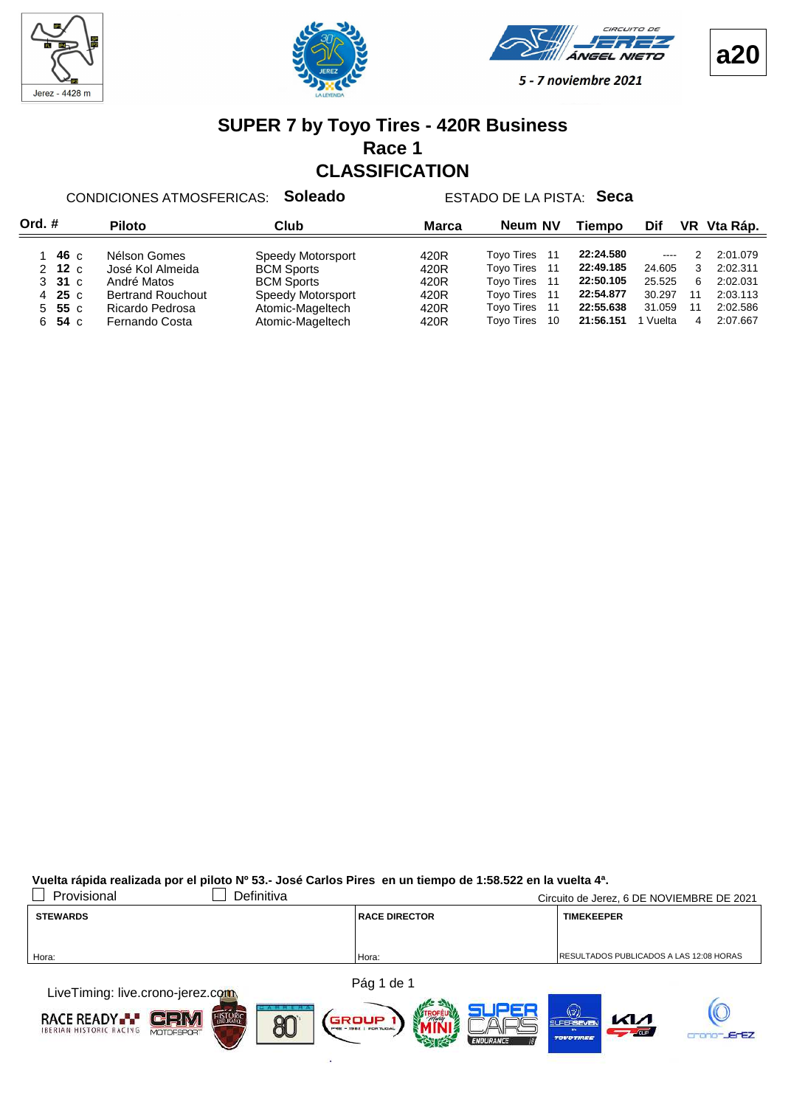







#### **SUPER 7 by Toyo Tires - 420R Business Race 1 CLASSIFICATION**

CONDICIONES ATMOSFERICAS: **Soleado** ESTADO DE LA PISTA: **Seca**

| Ord.#      | <b>Piloto</b>            | Club              | <b>Marca</b> | Neum NV                  | <b>Tiempo</b> | Dif                                                                                                                                                                                                                                                                                                                                                                                                                                                                        |    | VR Vta Ráp. |
|------------|--------------------------|-------------------|--------------|--------------------------|---------------|----------------------------------------------------------------------------------------------------------------------------------------------------------------------------------------------------------------------------------------------------------------------------------------------------------------------------------------------------------------------------------------------------------------------------------------------------------------------------|----|-------------|
| 46 с       | Nélson Gomes             | Speedy Motorsport | 420R         | <b>Tovo Tires</b><br>11  | 22:24.580     | $\frac{1}{2} \left( \frac{1}{2} \right) \left( \frac{1}{2} \right) \left( \frac{1}{2} \right) \left( \frac{1}{2} \right) \left( \frac{1}{2} \right) \left( \frac{1}{2} \right) \left( \frac{1}{2} \right) \left( \frac{1}{2} \right) \left( \frac{1}{2} \right) \left( \frac{1}{2} \right) \left( \frac{1}{2} \right) \left( \frac{1}{2} \right) \left( \frac{1}{2} \right) \left( \frac{1}{2} \right) \left( \frac{1}{2} \right) \left( \frac{1}{2} \right) \left( \frac$ |    | 2:01.079    |
| $2$ 12 c   | José Kol Almeida         | <b>BCM Sports</b> | 420R         | <b>Toyo Tires</b><br>11  | 22:49.185     | 24.605                                                                                                                                                                                                                                                                                                                                                                                                                                                                     | 3  | 2:02.311    |
| 331c       | André Matos              | <b>BCM Sports</b> | 420R         | <b>Tovo Tires</b><br>11  | 22:50.105     | 25.525                                                                                                                                                                                                                                                                                                                                                                                                                                                                     | 6  | 2:02.031    |
| 25c<br>4   | <b>Bertrand Rouchout</b> | Speedy Motorsport | 420R         | <b>Toyo Tires</b><br>11  | 22:54.877     | 30.297                                                                                                                                                                                                                                                                                                                                                                                                                                                                     | 11 | 2:03.113    |
| 55 с<br>5. | Ricardo Pedrosa          | Atomic-Mageltech  | 420R         | <b>Toyo Tires</b><br>11  | 22:55.638     | 31.059                                                                                                                                                                                                                                                                                                                                                                                                                                                                     | 11 | 2:02.586    |
| 54 с<br>6. | Fernando Costa           | Atomic-Mageltech  | 420R         | <b>Tovo Tires</b><br>-10 | 21:56.151     | Vuelta                                                                                                                                                                                                                                                                                                                                                                                                                                                                     | 4  | 2:07.667    |

**Vuelta rápida realizada por el piloto Nº 53.- José Carlos Pires en un tiempo de 1:58.522 en la vuelta 4ª.**

| Provisional                                                                                                                                                                                                                   | Definitiva |                      | Circuito de Jerez, 6 DE NOVIEMBRE DE 2021      |
|-------------------------------------------------------------------------------------------------------------------------------------------------------------------------------------------------------------------------------|------------|----------------------|------------------------------------------------|
| <b>STEWARDS</b>                                                                                                                                                                                                               |            | <b>RACE DIRECTOR</b> | <b>TIMEKEEPER</b>                              |
|                                                                                                                                                                                                                               |            |                      |                                                |
| Hora:                                                                                                                                                                                                                         | Hora:      |                      | <b>RESULTADOS PUBLICADOS A LAS 12:08 HORAS</b> |
|                                                                                                                                                                                                                               |            |                      |                                                |
| the company of the company of the company of the company of the company of the company of the company of the company of the company of the company of the company of the company of the company of the company of the company |            | Pág 1 de 1           |                                                |

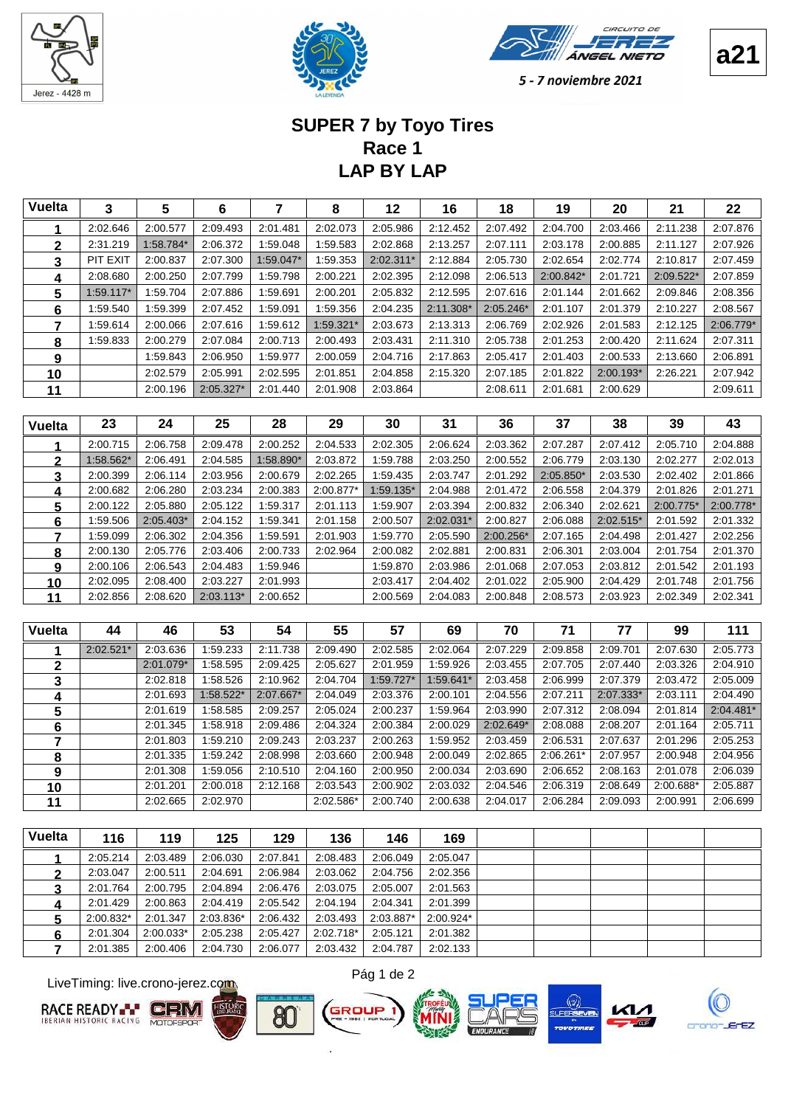





# **LAP BY LAP Race 1 SUPER 7 by Toyo Tires**

| <b>Vuelta</b> | 3         | 5         | 6         | $\overline{7}$ | 8         | 12        | 16        | 18        | 19        | 20        | 21        | 22        |
|---------------|-----------|-----------|-----------|----------------|-----------|-----------|-----------|-----------|-----------|-----------|-----------|-----------|
| 1             | 2:02.646  | 2:00.577  | 2:09.493  | 2:01.481       | 2:02.073  | 2:05.986  | 2:12.452  | 2:07.492  | 2:04.700  | 2:03.466  | 2:11.238  | 2:07.876  |
| $\mathbf{2}$  | 2:31.219  | 1:58.784* | 2:06.372  | 1:59.048       | 1.59.583  | 2:02.868  | 2:13.257  | 2:07.111  | 2:03.178  | 2:00.885  | 2:11.127  | 2:07.926  |
| 3             | PIT EXIT  | 2:00.837  | 2:07.300  | 1:59.047*      | 1:59.353  | 2:02.311* | 2:12.884  | 2:05.730  | 2:02.654  | 2:02.774  | 2:10.817  | 2:07.459  |
| 4             | 2:08.680  | 2:00.250  | 2:07.799  | 1:59.798       | 2:00.221  | 2:02.395  | 2:12.098  | 2:06.513  | 2:00.842* | 2:01.721  | 2:09.522* | 2:07.859  |
| 5             | 1:59.117* | 1:59.704  | 2:07.886  | 1:59.691       | 2:00.201  | 2:05.832  | 2:12.595  | 2:07.616  | 2:01.144  | 2:01.662  | 2:09.846  | 2:08.356  |
| 6             | 1:59.540  | 1:59.399  | 2:07.452  | 1:59.091       | 1:59.356  | 2:04.235  | 2:11.308* | 2:05.246* | 2:01.107  | 2:01.379  | 2:10.227  | 2:08.567  |
| 7             | 1:59.614  | 2:00.066  | 2:07.616  | 1:59.612       | 1:59.321* | 2:03.673  | 2:13.313  | 2:06.769  | 2:02.926  | 2:01.583  | 2:12.125  | 2:06.779* |
| 8             | 1:59.833  | 2:00.279  | 2:07.084  | 2:00.713       | 2:00.493  | 2:03.431  | 2:11.310  | 2:05.738  | 2:01.253  | 2:00.420  | 2:11.624  | 2:07.311  |
| 9             |           | 1:59.843  | 2:06.950  | 1:59.977       | 2:00.059  | 2:04.716  | 2:17.863  | 2:05.417  | 2:01.403  | 2:00.533  | 2:13.660  | 2:06.891  |
| 10            |           | 2:02.579  | 2:05.991  | 2:02.595       | 2:01.851  | 2:04.858  | 2:15.320  | 2:07.185  | 2:01.822  | 2:00.193* | 2:26.221  | 2:07.942  |
| 11            |           | 2:00.196  | 2:05.327* | 2:01.440       | 2:01.908  | 2:03.864  |           | 2:08.611  | 2:01.681  | 2:00.629  |           | 2:09.611  |
|               |           |           |           |                |           |           |           |           |           |           |           |           |
| <b>Vuelta</b> | 23        | 24        | 25        | 28             | 29        | 30        | 31        | 36        | 37        | 38        | 39        | 43        |
|               | 2:00.715  | 2:06.758  | 2:09.478  | 2:00.252       | 2:04.533  | 2:02.305  | 2:06.624  | 2:03.362  | 2:07.287  | 2:07.412  | 2:05.710  | 2:04.888  |
| 2             | 1:58.562* | 2:06.491  | 2:04.585  | 1:58.890*      | 2:03.872  | 1:59.788  | 2:03.250  | 2:00.552  | 2:06.779  | 2:03.130  | 2:02.277  | 2:02.013  |
| 3             | 2:00.399  | 2:06.114  | 2:03.956  | 2:00.679       | 2:02.265  | 1:59.435  | 2:03.747  | 2:01.292  | 2:05.850* | 2:03.530  | 2:02.402  | 2:01.866  |
| 4             | 2:00.682  | 2:06.280  | 2:03.234  | 2:00.383       | 2:00.877* | 1:59.135* | 2:04.988  | 2:01.472  | 2:06.558  | 2:04.379  | 2:01.826  | 2:01.271  |
| 5             | 2:00.122  | 2:05.880  | 2:05.122  | 1:59.317       | 2:01.113  | 1:59.907  | 2:03.394  | 2:00.832  | 2:06.340  | 2:02.621  | 2:00.775* | 2:00.778* |
| 6             | 1:59.506  | 2:05.403* | 2:04.152  | 1:59.341       | 2:01.158  | 2:00.507  | 2:02.031* | 2:00.827  | 2:06.088  | 2:02.515* | 2:01.592  | 2:01.332  |
| 7             | 1:59.099  | 2:06.302  | 2:04.356  | 1:59.591       | 2:01.903  | 1:59.770  | 2:05.590  | 2:00.256* | 2:07.165  | 2:04.498  | 2:01.427  | 2:02.256  |
| 8             | 2:00.130  | 2:05.776  | 2:03.406  | 2:00.733       | 2:02.964  | 2:00.082  | 2:02.881  | 2:00.831  | 2:06.301  | 2:03.004  | 2:01.754  | 2:01.370  |

| <b>Vuelta</b> | 44          | 46        | 53        | 54        | 55        | 57          | 69        | 70          | 71        | 77        | 99        | 111       |
|---------------|-------------|-----------|-----------|-----------|-----------|-------------|-----------|-------------|-----------|-----------|-----------|-----------|
|               | $2:02.521*$ | 2:03.636  | :59.233   | 2:11.738  | 2:09.490  | 2:02.585    | 2:02.064  | 2:07.229    | 2:09.858  | 2:09.701  | 2:07.630  | 2:05.773  |
| າ             |             | 2:01.079* | :58.595   | 2:09.425  | 2:05.627  | 2:01.959    | 1:59.926  | 2:03.455    | 2:07.705  | 2:07.440  | 2:03.326  | 2:04.910  |
| 3             |             | 2:02.818  | :58.526   | 2:10.962  | 2:04.704  | $1:59.727*$ | 1:59.641* | 2:03.458    | 2:06.999  | 2:07.379  | 2:03.472  | 2:05.009  |
| 4             |             | 2:01.693  | 1:58.522* | 2:07.667* | 2:04.049  | 2:03.376    | 2:00.101  | 2:04.556    | 2:07.211  | 2:07.333* | 2:03.111  | 2:04.490  |
| 5             |             | 2:01.619  | :58.585   | 2:09.257  | 2:05.024  | 2:00.237    | 1:59.964  | 2:03.990    | 2:07.312  | 2:08.094  | 2:01.814  | 2:04.481* |
| 6             |             | 2:01.345  | :58.918   | 2:09.486  | 2:04.324  | 2:00.384    | 2:00.029  | $2:02.649*$ | 2:08.088  | 2:08.207  | 2:01.164  | 2:05.711  |
| 7             |             | 2:01.803  | :59.210   | 2:09.243  | 2:03.237  | 2:00.263    | 1:59.952  | 2:03.459    | 2:06.531  | 2:07.637  | 2:01.296  | 2:05.253  |
| 8             |             | 2:01.335  | :59.242   | 2:08.998  | 2:03.660  | 2:00.948    | 2:00.049  | 2:02.865    | 2:06.261* | 2:07.957  | 2:00.948  | 2:04.956  |
| 9             |             | 2:01.308  | :59.056   | 2:10.510  | 2:04.160  | 2:00.950    | 2:00.034  | 2:03.690    | 2:06.652  | 2:08.163  | 2:01.078  | 2:06.039  |
| 10            |             | 2:01.201  | 2:00.018  | 2:12.168  | 2:03.543  | 2:00.902    | 2:03.032  | 2:04.546    | 2:06.319  | 2:08.649  | 2:00.688* | 2:05.887  |
| 11            |             | 2:02.665  | 2:02.970  |           | 2:02.586* | 2:00.740    | 2:00.638  | 2:04.017    | 2:06.284  | 2:09.093  | 2:00.991  | 2:06.699  |

 2:00.106 2:04.483 2:06.543 1:59.946 1:59.870 2:03.986 2:01.068 2:07.053 2:03.812 2:01.542 2:01.193 2:02.095 2:03.227 2:08.400 2:01.993 2:03.417 2:04.402 2:01.022 2:05.900 2:04.429 2:01.748 2:01.756 2:02.856 2:03.113\* 2:08.620 2:00.652 2:00.569 2:04.083 2:00.848 2:08.573 2:03.923 2:02.349 2:02.341

| <b>Vuelta</b> | 116       | 119         | 125       | 129      | 136       | 146       | 169         |  |  |  |
|---------------|-----------|-------------|-----------|----------|-----------|-----------|-------------|--|--|--|
|               | 2:05.214  | 2:03.489    | 2:06.030  | 2:07.841 | 2:08.483  | 2:06.049  | 2:05.047    |  |  |  |
|               | 2:03.047  | 2:00.511    | 2:04.691  | 2:06.984 | 2:03.062  | 2:04.756  | 2:02.356    |  |  |  |
| 3             | 2:01.764  | 2:00.795    | 2:04.894  | 2:06.476 | 2:03.075  | 2:05.007  | 2:01.563    |  |  |  |
|               | 2:01.429  | 2:00.863    | 2:04.419  | 2:05.542 | 2:04.194  | 2:04.341  | 2:01.399    |  |  |  |
| 5             | 2:00.832* | 2:01.347    | 2:03.836* | 2:06.432 | 2:03.493  | 2:03.887* | $2:00.924*$ |  |  |  |
| 6             | 2:01.304  | $2:00.033*$ | 2:05.238  | 2:05.427 | 2:02.718* | 2:05.121  | 2:01.382    |  |  |  |
|               | 2:01.385  | 2:00.406    | 2:04.730  | 2:06.077 | 2:03.432  | 2:04.787  | 2:02.133    |  |  |  |

LiveTiming: live.crono-jerez.com







ROUP







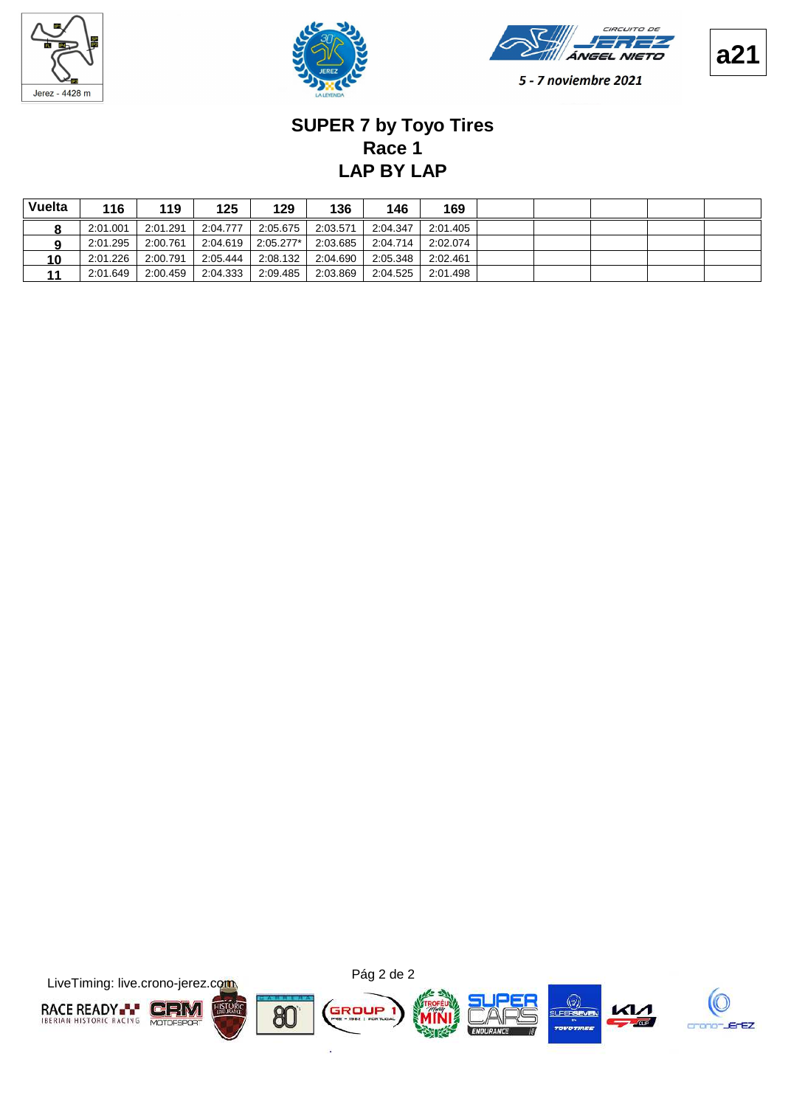







# **LAP BY LAP Race 1 SUPER 7 by Toyo Tires**

| Vuelta | 116      | 119      | 125      | 129        | 136      | 146      | 169      |  |  |  |
|--------|----------|----------|----------|------------|----------|----------|----------|--|--|--|
|        | 2:01.001 | 2:01.291 | 2:04.777 | 2:05.675   | 2:03.571 | 2:04.347 | 2:01.405 |  |  |  |
|        | 2:01.295 | 2:00.761 | 2:04.619 | 2:05.277*l | 2:03.685 | 2:04.714 | 2:02.074 |  |  |  |
| 10     | 2:01.226 | 2:00.791 | 2:05.444 | 2:08.132   | 2:04.690 | 2:05.348 | 2:02.461 |  |  |  |
|        | 2:01.649 | 2:00.459 | 2:04.333 | 2:09.485   | 2:03.869 | 2:04.525 | 2:01.498 |  |  |  |

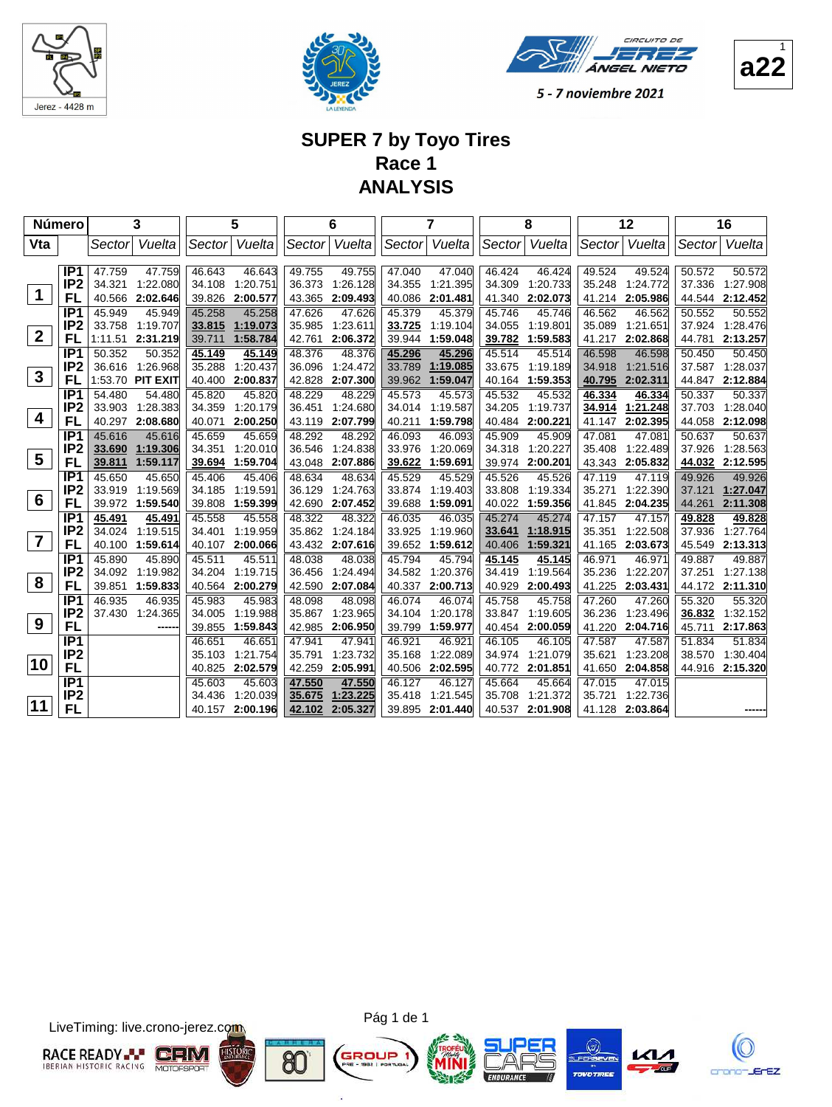





## **SUPER 7 by Toyo Tires Race 1 ANALYSIS**

|                 | Número                             |                  | 3                  |                  | 5                    |                  | 6                    |                  | 7                  |                  | 8                    |                  | 12                 |                  | 16                 |
|-----------------|------------------------------------|------------------|--------------------|------------------|----------------------|------------------|----------------------|------------------|--------------------|------------------|----------------------|------------------|--------------------|------------------|--------------------|
| Vta             |                                    | Sectorl          | Vuelta             | Sector           | Vuelta               | Sector           | Vuelta               | Sector           | Vuelta             | Sector           | Vuelta               | Sector           | Vuelta             | Sector           | Vuelta             |
|                 |                                    |                  |                    |                  |                      |                  |                      |                  |                    |                  |                      |                  |                    |                  |                    |
|                 | IP <sub>1</sub>                    | 47.759           | 47.759             | 46.643           | 46.643               | 49.755           | 49.755               | 47.040           | 47.040             | 46.424           | 46.424               | 49.524           | 49.524             | 50.572           | 50.572             |
| $\mathbf 1$     | IP <sub>2</sub>                    | 34.321           | 1:22.080           | 34.108           | 1:20.751             | 36.373           | 1:26.128             | 34.355           | 1:21.395           | 34.309           | 1:20.733             | 35.248           | 1:24.772           | 37.336           | 1:27.908           |
|                 | FL                                 | 40.566           | 2:02.646           | 39.826           | 2:00.577             | 43.365           | 2:09.493             | 40.086           | 2:01.481           | 41.340           | 2:02.073             | 41.214           | 2:05.986           | 44.544           | 2:12.452           |
|                 | IP <sub>1</sub><br>IP <sub>2</sub> | 45.949<br>33.758 | 45.949<br>1:19.707 | 45.258           | 45.258<br>1:19.073   | 47.626<br>35.985 | 47.626<br>1:23.611   | 45.379<br>33.725 | 45.379<br>1:19.104 | 45.746<br>34.055 | 45.746<br>1:19.801   | 46.562<br>35.089 | 46.562<br>1:21.651 | 50.552<br>37.924 | 50.552<br>1:28.476 |
| $\overline{2}$  | FL                                 | 1:11.51          | 2:31.219           | 33.815<br>39.711 | 1:58.784             | 42.761           | 2:06.372             | 39.944           | 1:59.048           | 39.782           | 1:59.583             | 41.217           | 2:02.868           | 44.781           | 2:13.257           |
|                 | IP1                                | 50.352           | 50.352             | 45.149           | 45.149               | 48.376           | 48.376               | 45.296           | 45.296             | 45.514           | 45.514               | 46.598           | 46.598             | 50.450           | 50.450             |
|                 | IP <sub>2</sub>                    |                  | 36.616 1:26.968    | 35.288           | 1:20.437             | 36.096           | 1:24.472             | 33.789           | 1:19.085           | 33.675           | 1:19.189             | 34.918           | 1:21.516           | 37.587           | 1:28.037           |
| $\mathbf{3}$    | FL                                 |                  | 1:53.70 PIT EXIT   | 40.400           | 2:00.837             | 42.828           | 2:07.300             | 39.962           | 1:59.047           | 40.164           | 1:59.353             | 40.795           | 2:02.311           |                  | 44.847 2:12.884    |
|                 | IP <sub>1</sub>                    | 54.480           | 54.480             | 45.820           | 45.820               | 48.229           | 48.229               | 45.573           | 45.573             | 45.532           | 45.532               | 46.334           | 46.334             | 50.337           | 50.337             |
|                 | IP <sub>2</sub>                    | 33.903           | 1:28.383           | 34.359           | 1:20.179             | 36.451           | 1:24.680             | 34.014           | 1:19.587           | 34.205           | 1:19.737             | 34.914           | 1:21.248           | 37.703           | 1:28.040           |
| $\overline{4}$  | FL                                 | 40.297           | 2:08.680           | 40.071           | 2:00.250             | 43.119           | 2:07.799             | 40.211           | 1:59.798           | 40.484           | 2:00.221             | 41.147           | 2:02.395           | 44.058           | 2:12.098           |
|                 | IP <sub>1</sub>                    | 45.616           | 45.616             | 45.659           | 45.659               | 48.292           | 48.292               | 46.093           | 46.093             | 45.909           | 45.909               | 47.081           | 47.081             | 50.637           | 50.637             |
|                 | IP <sub>2</sub>                    | 33.690           | 1:19.306           | 34.351           | 1:20.010             | 36.546           | 1:24.838             | 33.976           | 1:20.069           | 34.318           | 1:20.227             | 35.408           | 1:22.489           | 37.926           | 1:28.563           |
| $5\phantom{1}$  | FL                                 | 39.811           | 1:59.117           | 39.694           | 1:59.704             | 43.048           | 2:07.886             | 39.622           | 1:59.691           | 39.974           | 2:00.201             | 43.343           | 2:05.832           | 44.032           | 2:12.595           |
|                 | IP <sub>1</sub>                    | 45.650           | 45.650             | 45.406           | 45.406               | 48.634           | 48.634               | 45.529           | 45.529             | 45.526           | 45.526               | 47.119           | 47.119             | 49.926           | 49.926             |
|                 | IP <sub>2</sub>                    | 33.919           | 1:19.569           | 34.185           | 1:19.591             | 36.129           | 1:24.763             | 33.874           | 1:19.403           | 33.808           | 1:19.334             | 35.271           | 1:22.390           | 37.121           | 1:27.047           |
| $6\phantom{1}6$ | FL                                 | 39.972           | 1:59.540           | 39.808           | 1:59.399             | 42.690           | 2:07.452             | 39.688           | 1:59.091           | 40.022           | 1:59.356             | 41.845           | 2:04.235           | 44.261           | 2:11.308           |
|                 | IP <sub>1</sub>                    | 45.491           | 45.491             | 45.558           | 45.558               | 48.322           | 48.322               | 46.035           | 46.035             | 45.274           | 45.274               | 47.157           | 47.157             | 49.828           | 49.828             |
| $\overline{7}$  | IP <sub>2</sub>                    | 34.024           | 1:19.515           | 34.401           | 1:19.959             | 35.862           | 1:24.184             | 33.925           | 1:19.960           | 33.641           | 1:18.915             | 35.351           | 1:22.508           | 37.936           | 1:27.764           |
|                 | FL                                 | 40.100           | 1:59.614           | 40.107           | 2:00.066             |                  | 43.432 2:07.616      | 39.652           | 1:59.612           | 40.406           | 1:59.321             | 41.165           | 2:03.673           | 45.549           | 2:13.313           |
|                 | IP <sub>1</sub>                    | 45.890           | 45.890             | 45.511           | 45.511               | 48.038           | 48.038               | 45.794           | 45.794             | 45.145           | 45.145               | 46.971           | 46.971             | 49.887           | 49.887             |
| 8               | IP <sub>2</sub><br>FL              | 34.092           | 1:19.982           | 34.204<br>40.564 | 1:19.715<br>2:00.279 | 36.456<br>42.590 | 1:24.494<br>2:07.084 | 34.582           | 1:20.376           | 34.419           | 1:19.564<br>2:00.493 | 35.236           | 1:22.207           | 37.251           | 1:27.138           |
|                 | IP <sub>1</sub>                    | 39.851           | 1:59.833           |                  | 45.983               |                  |                      | 40.337<br>46.074 | 2:00.713<br>46.074 | 40.929<br>45.758 | 45.758               | 41.225           | 2:03.431           |                  | 44.172 2:11.310    |
|                 | IP <sub>2</sub>                    | 46.935<br>37.430 | 46.935<br>1:24.365 | 45.983<br>34.005 | 1:19.988             | 48.098<br>35.867 | 48.098<br>1:23.965   | 34.104           | 1:20.178           | 33.847           | 1:19.605             | 47.260<br>36.236 | 47.260<br>1:23.496 | 55.320<br>36.832 | 55.320<br>1:32.152 |
| 9               | FL                                 |                  |                    | 39.855           | 1:59.843             | 42.985           | 2:06.950             | 39.799           | 1:59.977           | 40.454           | 2:00.059             | 41.220           | 2:04.716           | 45.711           | 2:17.863           |
|                 | IP <sub>1</sub>                    |                  |                    | 46.651           | 46.651               | 47.941           | 47.941               | 46.921           | 46.921             | 46.105           | 46.105               | 47.587           | 47.587             | 51.834           | 51.834             |
|                 | IP <sub>2</sub>                    |                  |                    | 35.103           | 1:21.754             | 35.791           | 1:23.732             | 35.168           | 1:22.089           | 34.974           | 1:21.079             | 35.621           | 1:23.208           | 38.570           | 1:30.404           |
| 10              | FL                                 |                  |                    | 40.825           | 2:02.579             | 42.259           | 2:05.991             | 40.506           | 2:02.595           | 40.772           | 2:01.851             | 41.650           | 2:04.858           |                  | 44.916 2:15.320    |
|                 | IP1                                |                  |                    | 45.603           | 45.603               | 47.550           | 47.550               | 46.127           | 46.127             | 45.664           | 45.664               | 47.015           | 47.015             |                  |                    |
|                 | IP <sub>2</sub>                    |                  |                    | 34.436           | 1:20.039             | 35.675           | 1:23.225             | 35.418           | 1:21.545           | 35.708           | 1:21.372             | 35.721           | 1:22.736           |                  |                    |
| 11              | FL                                 |                  |                    | 40.157           | 2:00.196             | 42.102           | 2:05.327             | 39.895           | 2:01.440           | 40.537           | 2:01.908             | 41.128           | 2:03.864           |                  |                    |

LiveTiming: live.crono-jerez.com



Pág 1 de 1

G

ä









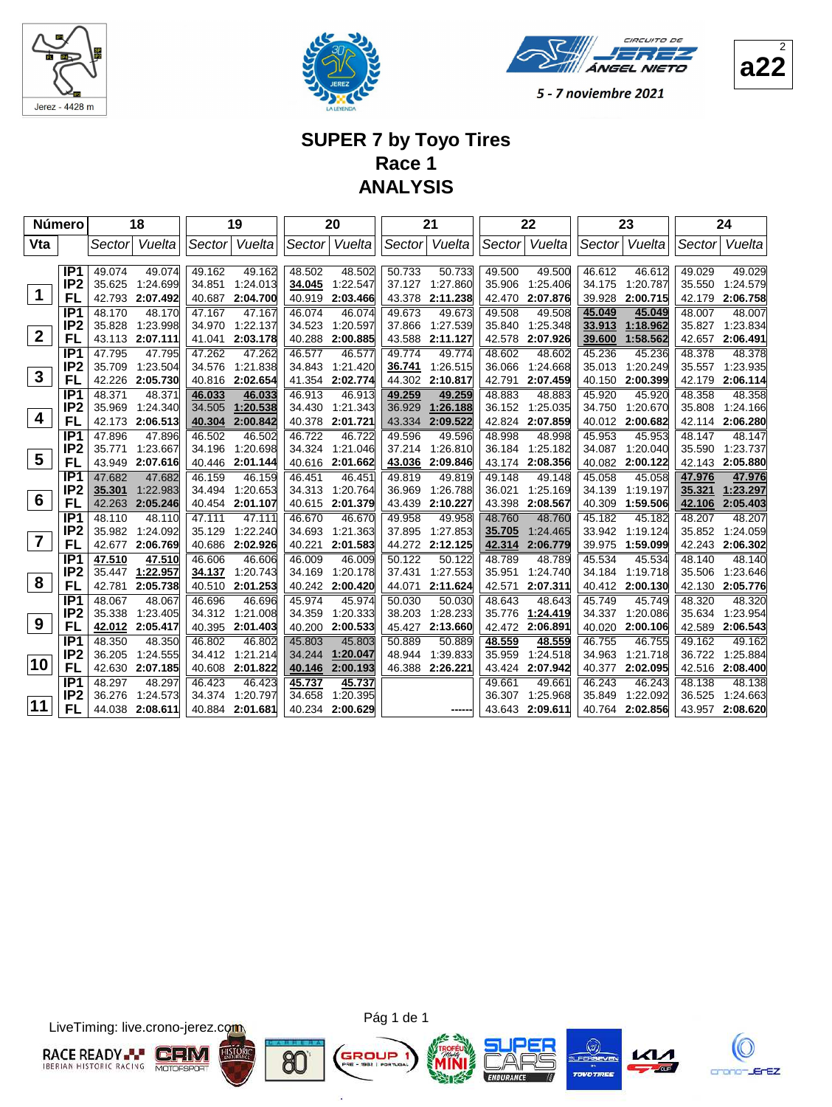





#### **SUPER 7 by Toyo Tires Race 1 ANALYSIS**

| <b>Número</b>    |                                    |                  | 18                 |                  | 19                 |                  | 20                   |                  | 21                   |                  | 22                   |                  | 23                   |                  | 24                 |
|------------------|------------------------------------|------------------|--------------------|------------------|--------------------|------------------|----------------------|------------------|----------------------|------------------|----------------------|------------------|----------------------|------------------|--------------------|
| Vta              |                                    | Sectorl          | Vuelta             | Sector           | Vuelta             | Sector           | Vuelta               | Sector           | Vuelta               | Sector           | Vuelta               | Sector           | Vuelta               | Sector           | Vuelta             |
|                  |                                    |                  |                    |                  |                    |                  |                      |                  |                      |                  |                      |                  |                      |                  |                    |
|                  | IP <sub>1</sub><br>IP <sub>2</sub> | 49.074<br>35.625 | 49.074<br>1:24.699 | 49.162<br>34.851 | 49.162<br>1:24.013 | 48.502<br>34.045 | 48.502<br>1:22.547   | 50.733<br>37.127 | 50.733<br>1:27.860   | 49.500<br>35.906 | 49.500<br>1:25.406   | 46.612<br>34.175 | 46.612<br>1:20.787   | 49.029<br>35.550 | 49.029<br>1:24.579 |
| $\mathbf{1}$     | FL                                 | 42.793           | 2:07.492           | 40.687           | 2:04.700           | 40.919           | 2:03.466             | 43.378           | 2:11.238             | 42.470           | 2:07.876             | 39.928           | 2:00.715             | 42.179           | 2:06.758           |
|                  | IP <sub>1</sub>                    | 48.170           | 48.170             | 47.167           | 47.167             | 46.074           | 46.074               | 49.673           | 49.673               | 49.508           | 49.508               | 45.049           | 45.049               | 48.007           | 48.007             |
|                  | IP <sub>2</sub>                    | 35.828           | 1:23.998           | 34.970           | 1:22.137           | 34.523           | 1:20.597             | 37.866           | 1:27.539             | 35.840           | 1:25.348             | 33.913           | 1:18.962             | 35.827           | 1:23.834           |
| $\overline{2}$   | FL                                 |                  | 43.113 2:07.111    | 41.041           | 2:03.178           | 40.288           | 2:00.885             | 43.588           | 2:11.127             | 42.578           | 2:07.926             | 39.600           | 1:58.562             | 42.657           | 2:06.491           |
|                  | IP <sub>1</sub>                    | 47.795           | 47.795             | 47.262           | 47.262             | 46.577           | 46.577               | 49.774           | 49.774               | 48.602           | 48.602               | 45.236           | 45.236               | 48.378           | 48.378             |
|                  | IP <sub>2</sub>                    | 35.709           | 1:23.504           | 34.576           | 1:21.838           | 34.843           | 1:21.420             | 36.741           | 1:26.515             | 36.066           | 1:24.668             | 35.013           | 1:20.249             | 35.557           | 1:23.935           |
| $\mathbf{3}$     | FL                                 | 42.226           | 2:05.730           | 40.816           | 2:02.654           | 41.354           | 2:02.774             | 44.302           | 2:10.817             | 42.791           | 2:07.459             | 40.150           | 2:00.399             | 42.179           | 2:06.114           |
|                  | IP <sub>1</sub>                    | 48.371           | 48.371             | 46.033           | 46.033             | 46.913           | 46.913               | 49.259           | 49.259               | 48.883           | 48.883               | 45.920           | 45.920               | 48.358           | 48.358             |
| $\boldsymbol{4}$ | IP <sub>2</sub>                    | 35.969           | 1:24.340           | 34.505           | 1:20.538           | 34.430           | 1:21.343             | 36.929           | 1:26.188             | 36.152           | 1:25.035             | 34.750           | 1:20.670             | 35.808           | 1:24.166           |
|                  | FL                                 | 42.173           | 2:06.513           | 40.304           | 2:00.842           | 40.378           | 2:01.721             | 43.334           | 2:09.522             | 42.824           | 2:07.859             | 40.012           | 2:00.682             | 42.114           | 2:06.280           |
|                  | IP <sub>1</sub>                    | 47.896           | 47.896             | 46.502           | 46.502             | 46.722           | 46.722               | 49.596           | 49.596               | 48.998           | 48.998               | 45.953           | 45.953               | 48.147           | 48.147             |
| $5\phantom{1}$   | IP <sub>2</sub>                    | 35.771           | 1:23.667           | 34.196           | 1:20.698           | 34.324           | 1:21.046             | 37.214           | 1:26.810             | 36.184           | 1:25.182             | 34.087           | 1:20.040             | 35.590           | 1:23.737           |
|                  | FL                                 | 43.949           | 2:07.616           | 40.446           | 2:01.144           | 40.616           | 2:01.662             | 43.036           | 2:09.846             | 43.174           | 2:08.356             | 40.082           | 2:00.122             | 42.143           | 2:05.880           |
|                  | IP1<br>IP <sub>2</sub>             | 47.682<br>35.301 | 47.682<br>1:22.983 | 46.159           | 46.159<br>1:20.653 | 46.451           | 46.451               | 49.819           | 49.819               | 49.148           | 49.148               | 45.058           | 45.058               | 47.976<br>35.321 | 47.976<br>1:23.297 |
| $6\phantom{1}6$  | FL                                 | 42.263           | 2:05.246           | 34.494<br>40.454 | 2:01.107           | 34.313<br>40.615 | 1:20.764<br>2:01.379 | 36.969<br>43.439 | 1:26.788<br>2:10.227 | 36.021<br>43.398 | 1:25.169<br>2:08.567 | 34.139<br>40.309 | 1:19.197<br>1:59.506 | 42.106           | 2:05.403           |
|                  | IP <sub>1</sub>                    | 48.110           | 48.110             | 47.111           | 47.111             | 46.670           | 46.670               | 49.958           | 49.958               | 48.760           | 48.760               | 45.182           | 45.182               | 48.207           | 48.207             |
|                  | IP <sub>2</sub>                    | 35.982           | 1:24.092           | 35.129           | 1:22.240           | 34.693           | 1:21.363             | 37.895           | 1:27.853             | 35.705           | 1:24.465             | 33.942           | 1:19.124             | 35.852           | 1:24.059           |
| $\overline{7}$   | FL                                 | 42.677           | 2:06.769           | 40.686           | 2:02.926           | 40.221           | 2:01.583             | 44.272           | 2:12.125             | 42.314           | 2:06.779             | 39.975           | 1:59.099             | 42.243           | 2:06.302           |
|                  | IP <sub>1</sub>                    | 47.510           | 47.510             | 46.606           | 46.606             | 46.009           | 46.009               | 50.122           | 50.122               | 48.789           | 48.789               | 45.534           | 45.534               | 48.140           | 48.140             |
|                  | IP <sub>2</sub>                    | 35.447           | 1:22.957           | 34.137           | 1:20.743           | 34.169           | 1:20.178             | 37.431           | 1:27.553             | 35.951           | 1:24.740             | 34.184           | 1:19.718             | 35.506           | 1:23.646           |
| 8                | FL                                 | 42.781           | 2:05.738           | 40.510           | 2:01.253           | 40.242           | 2:00.420             | 44.071           | 2:11.624             | 42.571           | 2:07.311             | 40.412           | 2:00.130             | 42.130           | 2:05.776           |
|                  | IP <sub>1</sub>                    | 48.067           | 48.067             | 46.696           | 46.696             | 45.974           | 45.974               | 50.030           | 50.030               | 48.643           | 48.643               | 45.749           | 45.749               | 48.320           | 48.320             |
|                  | IP <sub>2</sub>                    | 35.338           | 1:23.405           | 34.312           | 1:21.008           | 34.359           | 1:20.333             | 38.203           | 1:28.233             | 35.776           | 1:24.419             | 34.337           | 1:20.086             | 35.634           | 1:23.954           |
| 9                | FL                                 | 42.012           | 2:05.417           | 40.395           | 2:01.403           | 40.200           | 2:00.533             | 45.427           | 2:13.660             | 42.472           | 2:06.891             | 40.020           | 2:00.106             | 42.589           | 2:06.543           |
|                  | IP <sub>1</sub>                    | 48.350           | 48.350             | 46.802           | 46.802             | 45.803           | 45.803               | 50.889           | 50.889               | 48.559           | 48.559               | 46.755           | 46.755               | 49.162           | 49.162             |
| 10               | IP <sub>2</sub>                    | 36.205           | 1:24.555           | 34.412           | 1:21.214           | 34.244           | 1:20.047             | 48.944           | 1:39.833             | 35.959           | 1:24.518             | 34.963           | 1:21.718             | 36.722           | 1.25.884           |
|                  | FL                                 | 42.630           | 2:07.185           | 40.608           | 2:01.822           | 40.146           | 2:00.193             | 46.388           | 2:26.221             | 43.424           | 2:07.942             | 40.377           | 2:02.095             | 42.516           | 2:08.400           |
|                  | IP <sub>1</sub>                    | 48.297           | 48.297             | 46.423           | 46.423             | 45.737           | 45.737               |                  |                      | 49.661           | 49.661               | 46.243           | 46.243               | 48.138           | 48.138             |
| 11               | IP <sub>2</sub>                    | 36.276           | 1:24.573           | 34.374           | 1:20.797           | 34.658           | 1:20.395             |                  |                      | 36.307           | 1:25.968             | 35.849           | 1:22.092             | 36.525           | 1:24.663           |
|                  | FL                                 | 44.038           | 2:08.611           | 40.884           | 2:01.681           | 40.234           | 2:00.629             |                  |                      | 43.643           | 2:09.611             | 40.764           | 2:02.856             | 43.957           | 2:08.620           |

LiveTiming: live.crono-jerez.com



Pág 1 de 1

G

ä









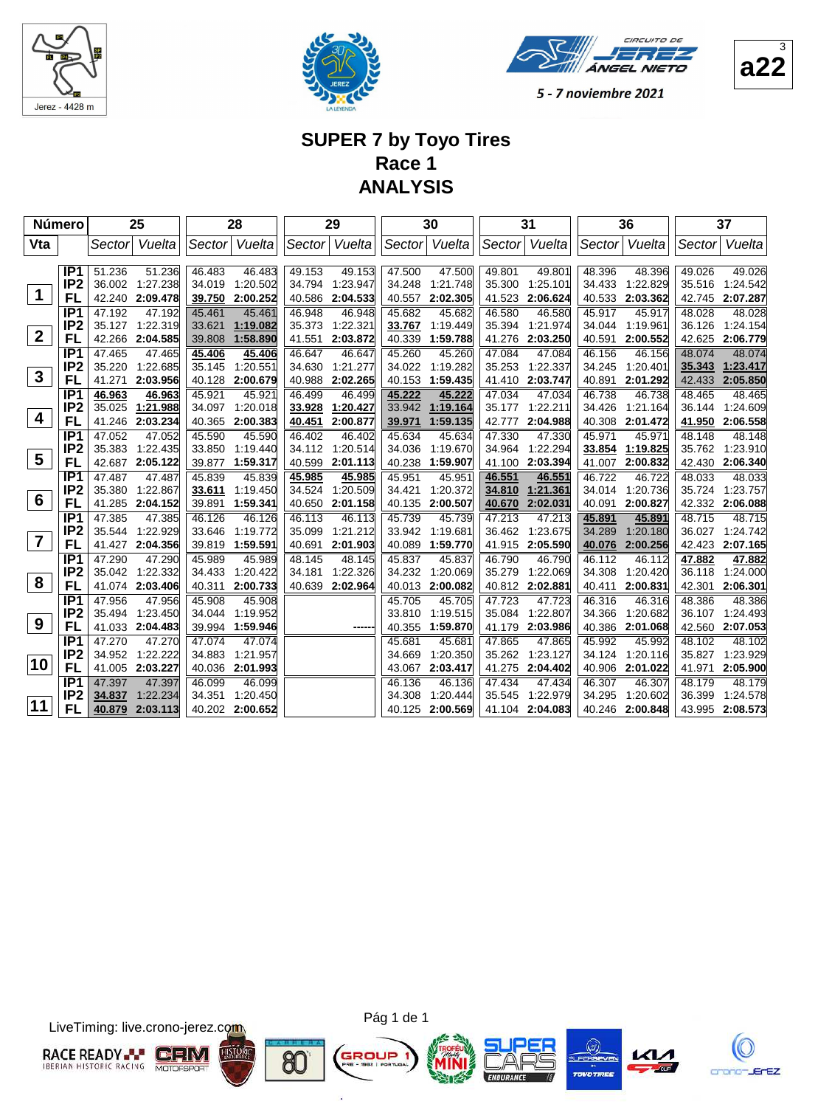







#### **SUPER 7 by Toyo Tires Race 1 ANALYSIS**

| <b>Número</b>           |                        |                  | 25                   |                  | 28                   |                  | 29                   |                  | 30                   |                  | 31                   |                  | 36                   |                  | 37                   |
|-------------------------|------------------------|------------------|----------------------|------------------|----------------------|------------------|----------------------|------------------|----------------------|------------------|----------------------|------------------|----------------------|------------------|----------------------|
| Vta                     |                        | Sector           | Vuelta               |                  | Sector Vuelta        | Sector           | Vuelta               | Sector           | Vuelta               |                  | Sector Vuelta        | Sector           | Vuelta               | Sector           | Vuelta               |
|                         |                        |                  |                      |                  |                      |                  |                      |                  |                      |                  |                      |                  |                      |                  |                      |
|                         | IP <sub>1</sub>        | 51.236           | 51.236               | 46.483           | 46.483               | 49.153           | 49.153               | 47.500           | 47.500               | 49.801           | 49.801               | 48.396           | 48.396               | 49.026           | 49.026               |
| $\mathbf 1$             | IP <sub>2</sub>        | 36.002           | 1:27.238             | 34.019           | 1:20.502             | 34.794           | 1:23.947             | 34.248           | 1:21.748             | 35.300           | 1:25.101             | 34.433           | 1:22.829             | 35.516           | 1:24.542             |
|                         | FL                     |                  | 42.240 2:09.478      | 39.750           | 2:00.252             | 40.586           | 2:04.533             | 40.557           | 2:02.305             | 41.523           | 2:06.624             | 40.533           | 2:03.362             | 42.745           | 2:07.287             |
|                         | IP <sub>1</sub>        | 47.192           | 47.192               | 45.461           | 45.461               | 46.948           | 46.948               | 45.682           | 45.682               | 46.580           | 46.580               | 45.917           | 45.917               | 48.028           | 48.028               |
| $\overline{2}$          | IP <sub>2</sub>        | 35.127           | 1:22.319             | 33.621           | 1:19.082             | 35.373           | 1:22.321             | 33.767           | 1:19.449             | 35.394           | 1:21.974             | 34.044           | 1:19.961             | 36.126           | 1:24.154             |
|                         | FL                     | 42.266           | 2:04.585             | 39.808           | 1:58.890             | 41.551           | 2:03.872             | 40.339           | 1:59.788             | 41.276           | 2:03.250             | 40.591           | 2:00.552             | 42.625           | 2:06.779             |
|                         | IP1<br>IP <sub>2</sub> | 47.465           | 47.465               | 45.406           | 45.406               | 46.647           | 46.647               | 45.260           | 45.260               | 47.084           | 47.084               | 46.156           | 46.156               | 48.074           | 48.074               |
| $\mathbf{3}$            | FL                     | 35.220<br>41.271 | 1:22.685<br>2:03.956 | 35.145           | 1:20.551<br>2:00.679 | 34.630<br>40.988 | 1:21.277<br>2:02.265 | 34.022<br>40.153 | 1:19.282<br>1:59.435 | 35.253<br>41.410 | 1:22.337<br>2:03.747 | 34.245           | 1:20.401<br>2:01.292 | 35.343           | 1:23.417<br>2:05.850 |
|                         | IP <sub>1</sub>        |                  |                      | 40.128<br>45.921 | 45.921               | 46.499           |                      |                  |                      | 47.034           | 47.034               | 40.891<br>46.738 | 46.738               | 42.433<br>48.465 | 48.465               |
|                         | IP <sub>2</sub>        | 46.963<br>35.025 | 46.963<br>1:21.988   | 34.097           | 1:20.018             | 33.928           | 46.499<br>1:20.427   | 45.222<br>33.942 | 45.222<br>1:19.164   | 35.177           | 1:22.211             | 34.426           | 1:21.164             | 36.144           | 1:24.609             |
| 4                       | FL                     | 41.246           | 2:03.234             | 40.365           | 2:00.383             | 40.451           | 2:00.877             | 39.971           | 1:59.135             | 42.777           | 2:04.988             | 40.308           | 2:01.472             | 41.950           | 2:06.558             |
|                         | IP <sub>1</sub>        | 47.052           | 47.052               | 45.590           | 45.590               | 46.402           | 46.402               | 45.634           | 45.634               | 47.330           | 47.330               | 45.971           | 45.971               | 48.148           | 48.148               |
|                         | IP <sub>2</sub>        | 35.383           | 1:22.435             | 33.850           | 1:19.440             | 34.112           | 1:20.514             | 34.036           | 1:19.670             | 34.964           | 1:22.294             | 33.854           | 1:19.825             | 35.762           | 1:23.910             |
| $5\phantom{.0}$         | FL                     | 42.687           | 2:05.122             | 39.877           | 1:59.317             | 40.599           | 2:01.113             | 40.238           | 1:59.907             | 41.100           | 2:03.394             | 41.007           | 2:00.832             | 42.430           | 2:06.340             |
|                         | IP <sub>1</sub>        | 47.487           | 47.487               | 45.839           | 45.839               | 45.985           | 45.985               | 45.951           | 45.951               | 46.551           | 46.551               | 46.722           | 46.722               | 48.033           | 48.033               |
|                         | IP <sub>2</sub>        | 35.380           | 1:22.867             | 33.611           | 1:19.450             | 34.524           | 1:20.509             | 34.421           | 1:20.372             | 34.810           | 1:21.361             | 34.014           | 1:20.736             | 35.724           | 1:23.757             |
| 6                       | FL                     | 41.285           | 2:04.152             | 39.891           | 1:59.341             | 40.650           | 2:01.158             | 40.135           | 2:00.507             | 40.670           | 2:02.031             | 40.091           | 2:00.827             | 42.332           | 2:06.088             |
|                         | IP <sub>1</sub>        | 47.385           | 47.385               | 46.126           | 46.126               | 46.113           | 46.113               | 45.739           | 45.739               | 47.213           | 47.213               | 45.891           | 45.891               | 48.715           | 48.715               |
|                         | IP <sub>2</sub>        | 35.544           | 1:22.929             | 33.646           | 1:19.772             | 35.099           | 1:21.212             | 33.942           | 1:19.681             | 36.462           | 1:23.675             | 34.289           | 1:20.180             | 36.027           | 1:24.742             |
| $\overline{\mathbf{7}}$ | FL                     | 41.427           | 2:04.356             | 39.819           | 1:59.591             | 40.691           | 2:01.903             | 40.089           | 1:59.770             | 41.915           | 2:05.590             | 40.076           | 2:00.256             | 42.423           | 2:07.165             |
|                         | IP <sub>1</sub>        | 47.290           | 47.290               | 45.989           | 45.989               | 48.145           | 48.145               | 45.837           | 45.837               | 46.790           | 46.790               | 46.112           | 46.112               | 47.882           | 47.882               |
|                         | IP <sub>2</sub>        | 35.042           | 1:22.332             | 34.433           | 1:20.422             | 34.181           | 1:22.326             | 34.232           | 1:20.069             | 35.279           | 1:22.069             | 34.308           | 1:20.420             | 36.118           | 1:24.000             |
| 8                       | FL                     |                  | 41.074 2:03.406      | 40.311           | 2:00.733             | 40.639           | 2:02.964             | 40.013           | 2:00.082             | 40.812           | 2:02.881             | 40.411           | 2:00.831             | 42.301           | 2:06.301             |
|                         | IP <sub>1</sub>        | 47.956           | 47.956               | 45.908           | 45.908               |                  |                      | 45.705           | 45.705               | 47.723           | 47.723               | 46.316           | 46.316               | 48.386           | 48.386               |
|                         | IP <sub>2</sub>        | 35.494           | 1:23.450             | 34.044           | 1:19.952             |                  |                      | 33.810           | 1:19.515             | 35.084           | 1:22.807             | 34.366           | 1:20.682             | 36.107           | 1:24.493             |
| 9                       | FL                     | 41.033           | 2:04.483             | 39.994           | 1:59.946             |                  |                      | 40.355           | 1:59.870             | 41.179           | 2:03.986             | 40.386           | 2:01.068             | 42.560           | 2:07.053             |
|                         | IP <sub>1</sub>        | 47.270           | 47.270               | 47.074           | 47.074               |                  |                      | 45.681           | 45.681               | 47.865           | 47.865               | 45.992           | 45.992               | 48.102           | 48.102               |
|                         | IP <sub>2</sub>        | 34.952           | 1:22.222             | 34.883           | 1:21.957             |                  |                      | 34.669           | 1:20.350             | 35.262           | 1:23.127             | 34.124           | 1:20.116             | 35.827           | 1:23.929             |
| 10                      | FL                     | 41.005           | 2:03.227             | 40.036           | 2:01.993             |                  |                      | 43.067           | 2:03.417             | 41.275           | 2:04.402             | 40.906           | 2:01.022             | 41.971           | 2:05.900             |
|                         | IP <sub>1</sub>        | 47.397           | 47.397               | 46.099           | 46.099               |                  |                      | 46.136           | 46.136               | 47.434           | 47.434               | 46.307           | 46.307               | 48.179           | 48.179               |
| 11                      | IP <sub>2</sub>        | 34.837           | 1:22.234             | 34.351           | 1:20.450             |                  |                      | 34.308           | 1:20.444             | 35.545           | 1:22.979             | 34.295           | 1:20.602             | 36.399           | 1:24.578             |
|                         | FL                     | 40.879           | 2:03.113             | 40.202           | 2:00.652             |                  |                      | 40.125           | 2:00.569             | 41.104           | 2:04.083             | 40.246           | 2:00.848             | 43.995           | 2:08.573             |

LiveTiming: live.crono-jerez.com



Pág 1 de 1

G

ä







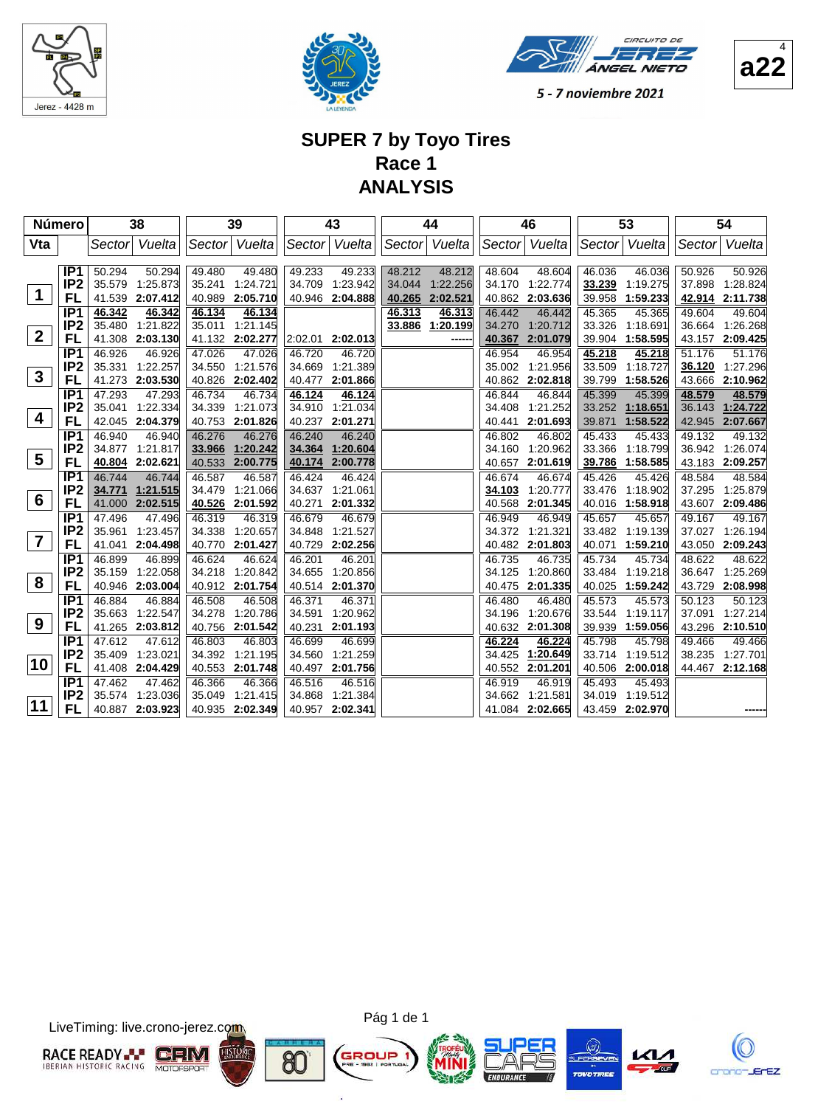





**a22**

4

5 - 7 noviembre 2021

## **SUPER 7 by Toyo Tires Race 1 ANALYSIS**

| <b>Número</b>           |                       |                  | 38                          |                  | 39                   |                  | 43                   |                  | 44                   |                  | 46                   |                  | 53                   |                  | 54                                 |
|-------------------------|-----------------------|------------------|-----------------------------|------------------|----------------------|------------------|----------------------|------------------|----------------------|------------------|----------------------|------------------|----------------------|------------------|------------------------------------|
| Vta                     |                       | Sectorl          | Vuelta                      | Sector           | Vuelta               |                  | Sector Vuelta        |                  | Sector Vuelta        | Sector           | Vuelta               |                  | Sector Vuelta        | Sector           | Vuelta                             |
|                         |                       |                  |                             |                  |                      |                  |                      |                  |                      |                  |                      |                  |                      |                  |                                    |
|                         | IP <sub>1</sub>       | 50.294           | 50.294                      | 49.480<br>35.241 | 49.480               | 49.233<br>34.709 | 49.233               | 48.212           | 48.212               | 48.604           | 48.604               | 46.036           | 46.036               | 50.926           | 50.926                             |
| $\mathbf 1$             | IP <sub>2</sub><br>FL | 35.579           | 1:25.873<br>41.539 2:07.412 | 40.989           | 1:24.721<br>2:05.710 | 40.946           | 1:23.942<br>2:04.888 | 34.044<br>40.265 | 1:22.256<br>2:02.521 | 34.170<br>40.862 | 1:22.774<br>2:03.636 | 33.239<br>39.958 | 1:19.275<br>1:59.233 |                  | 37.898 1:28.824<br>42.914 2:11.738 |
|                         | IP <sub>1</sub>       | 46.342           | 46.342                      | 46.134           | 46.134               |                  |                      | 46.313           | 46.313               | 46.442           | 46.442               | 45.365           | 45.365               | 49.604           | 49.604                             |
|                         | IP <sub>2</sub>       | 35.480           | 1:21.822                    | 35.011           | 1:21.145             |                  |                      | 33.886           | 1:20.199             | 34.270           | 1:20.712             | 33.326           | 1:18.691             | 36.664           | 1:26.268                           |
| $\overline{2}$          | FL                    |                  | 41.308 2:03.130             |                  | 41.132 2:02.277      | 2:02.01          | 2:02.013             |                  |                      | 40.367           | 2:01.079             | 39.904           | 1:58.595             |                  | 43.157 2:09.425                    |
|                         | IP <sub>1</sub>       | 46.926           | 46.926                      | 47.026           | 47.026               | 46.720           | 46.720               |                  |                      | 46.954           | 46.954               | 45.218           | 45.218               | 51.176           | 51.176                             |
|                         | IP <sub>2</sub>       |                  | 35.331 1:22.257             | 34.550           | 1:21.576             | 34.669           | 1:21.389             |                  |                      | 35.002           | 1:21.956             | 33.509           | 1:18.727             | 36.120           | 1:27.296                           |
| $\mathbf{3}$            | FL                    |                  | 41.273 2:03.530             | 40.826           | 2:02.402             | 40.477           | 2:01.866             |                  |                      | 40.862           | 2:02.818             | 39.799           | 1:58.526             |                  | 43.666 2:10.962                    |
|                         | IP <sub>1</sub>       | 47.293           | 47.293                      | 46.734           | 46.734               | 46.124           | 46.124               |                  |                      | 46.844           | 46.844               | 45.399           | 45.399               | 48.579           | 48.579                             |
|                         | IP <sub>2</sub>       | 35.041           | 1:22.334                    | 34.339           | 1:21.073             | 34.910           | 1:21.034             |                  |                      | 34.408           | 1:21.252             | 33.252           | 1:18.651             | 36.143           | 1:24.722                           |
| $\overline{\mathbf{4}}$ | FL                    |                  | 42.045 2:04.379             | 40.753           | 2:01.826             | 40.237           | 2:01.271             |                  |                      | 40.441           | 2:01.693             | 39.871           | 1:58.522             | 42.945           | 2:07.667                           |
|                         | IP <sub>1</sub>       | 46.940           | 46.940                      | 46.276           | 46.276               | 46.240           | 46.240               |                  |                      | 46.802           | 46.802               | 45.433           | 45.433               | 49.132           | 49.132                             |
| $5\phantom{1}$          | IP <sub>2</sub>       |                  | 34.877 1:21.817             | 33.966           | 1:20.242             | 34.364           | 1:20.604             |                  |                      | 34.160           | 1:20.962             | 33.366           | 1:18.799             | 36.942           | 1:26.074                           |
|                         | FL                    | 40.804           | 2:02.621                    | 40.533           | 2:00.775             | 40.174           | 2:00.778             |                  |                      | 40.657           | 2:01.619             | 39.786           | 1:58.585             | 43.183           | 2:09.257                           |
|                         | IP <sub>1</sub>       | 46.744           | 46.744                      | 46.587           | 46.587               | 46.424           | 46.424               |                  |                      | 46.674           | 46.674               | 45.426           | 45.426               | 48.584           | 48.584                             |
| $6\phantom{1}6$         | IP <sub>2</sub><br>FL | 34.771           | 1:21.515<br>2:02.515        | 34.479<br>40.526 | 1:21.066<br>2:01.592 | 34.637<br>40.271 | 1:21.061<br>2:01.332 |                  |                      | 34.103           | 1:20.777             | 33.476<br>40.016 | 1:18.902<br>1:58.918 | 37.295<br>43.607 | 1:25.879<br>2:09.486               |
|                         | IP <sub>1</sub>       | 41.000<br>47.496 | 47.496                      | 46.319           | 46.319               | 46.679           | 46.679               |                  |                      | 40.568<br>46.949 | 2:01.345<br>46.949   | 45.657           | 45.657               | 49.167           | 49.167                             |
|                         | IP <sub>2</sub>       | 35.961           | 1:23.457                    | 34.338           | 1:20.657             | 34.848           | 1:21.527             |                  |                      |                  | 34.372 1:21.321      | 33.482           | 1:19.139             | 37.027           | 1:26.194                           |
| $\overline{7}$          | FL                    | 41.041           | 2:04.498                    | 40.770           | 2:01.427             | 40.729           | 2:02.256             |                  |                      |                  | 40.482 2:01.803      | 40.071           | 1:59.210             | 43.050           | 2:09.243                           |
|                         | IP <sub>1</sub>       | 46.899           | 46.899                      | 46.624           | 46.624               | 46.201           | 46.201               |                  |                      | 46.735           | 46.735               | 45.734           | 45.734               | 48.622           | 48.622                             |
|                         | IP <sub>2</sub>       | 35.159           | 1:22.058                    | 34.218           | 1:20.842             | 34.655           | 1:20.856             |                  |                      | 34.125           | 1:20.860             | 33.484           | 1:19.218             | 36.647           | 1:25.269                           |
| 8                       | FL                    |                  | 40.946 2:03.004             | 40.912           | 2:01.754             | 40.514           | 2:01.370             |                  |                      | 40.475           | 2:01.335             | 40.025           | 1:59.242             | 43.729           | 2:08.998                           |
|                         | IP1                   | 46.884           | 46.884                      | 46.508           | 46.508               | 46.371           | 46.371               |                  |                      | 46.480           | 46.480               | 45.573           | 45.573               | 50.123           | 50.123                             |
|                         | IP <sub>2</sub>       | 35.663           | 1:22.547                    | 34.278           | 1:20.786             | 34.591           | 1:20.962             |                  |                      | 34.196           | 1:20.676             | 33.544           | 1:19.117             | 37.091           | 1:27.214                           |
| 9                       | FL                    |                  | 41.265 2:03.812             | 40.756           | 2:01.542             | 40.231           | 2:01.193             |                  |                      | 40.632           | 2:01.308             | 39.939           | 1:59.056             | 43.296           | 2:10.510                           |
|                         | IP <sub>1</sub>       | 47.612           | 47.612                      | 46.803           | 46.803               | 46.699           | 46.699               |                  |                      | 46.224           | 46.224               | 45.798           | 45.798               | 49.466           | 49.466                             |
| 10                      | IP <sub>2</sub>       | 35.409           | 1:23.021                    | 34.392           | 1:21.195             | 34.560           | 1:21.259             |                  |                      | 34.425           | 1:20.649             | 33.714           | 1:19.512             | 38.235           | 1:27.701                           |
|                         | FL                    |                  | 41.408 2:04.429             | 40.553           | 2:01.748             | 40.497           | 2:01.756             |                  |                      | 40.552           | 2:01.201             | 40.506           | 2:00.018             |                  | 44.467 2:12.168                    |
|                         | IP <sub>1</sub>       | 47.462           | 47.462                      | 46.366           | 46.366               | 46.516           | 46.516               |                  |                      | 46.919           | 46.919               | 45.493           | 45.493               |                  |                                    |
| 11                      | IP <sub>2</sub>       |                  | 35.574 1:23.036             | 35.049           | 1:21.415             | 34.868           | 1:21.384             |                  |                      | 34.662           | 1:21.581             | 34.019           | 1:19.512             |                  |                                    |
|                         | FL                    |                  | 40.887 2:03.923             |                  | 40.935 2:02.349      | 40.957           | 2:02.341             |                  |                      | 41.084           | 2:02.665             | 43.459           | 2:02.970             |                  |                                    |

LiveTiming: live.crono-jerez.com



Pág 1 de 1

G

ä

8C



 $\left(\tau\right)$ 

LFERS

KL

crono-JErEZ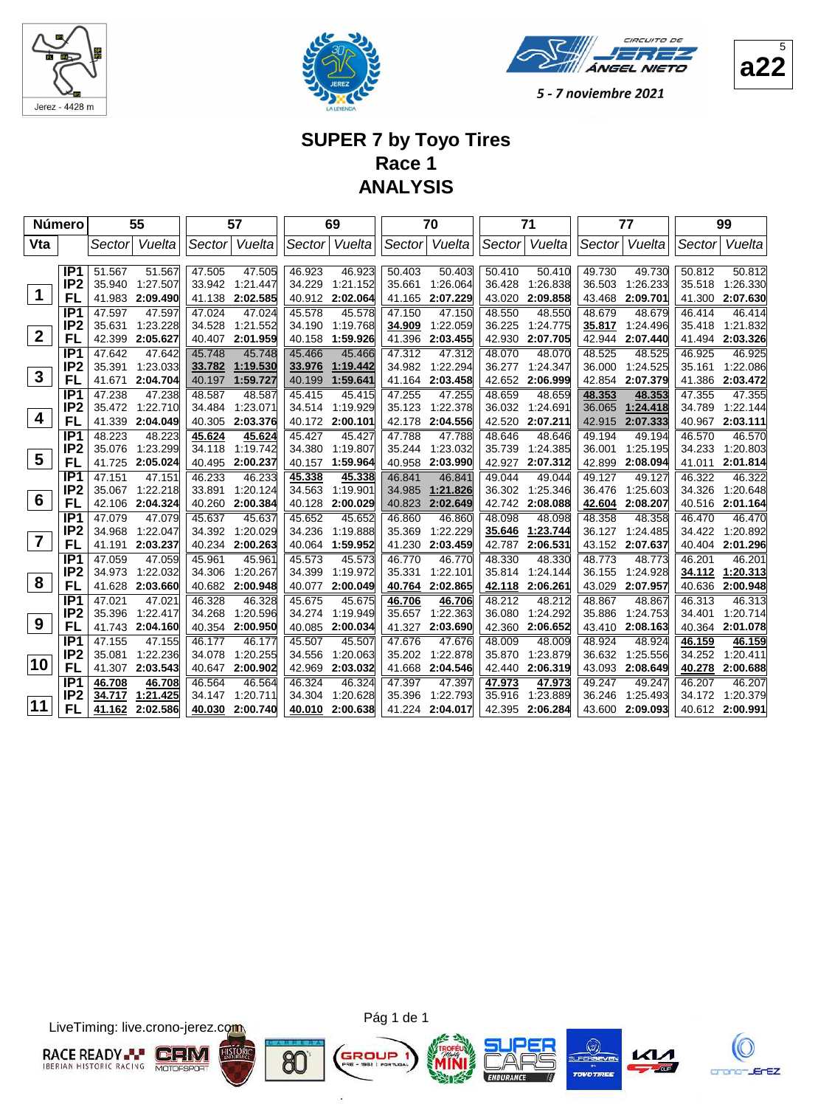







#### **SUPER 7 by Toyo Tires Race 1 ANALYSIS**

|                | <b>Número</b>         |                  | 55                 |                  | 57                 |                  | 69                 |                  | 70                 |                  | 71                 |                  | 77                 |                  | 99                 |
|----------------|-----------------------|------------------|--------------------|------------------|--------------------|------------------|--------------------|------------------|--------------------|------------------|--------------------|------------------|--------------------|------------------|--------------------|
| Vta            |                       | Sector           | Vuelta             | Sector           | Vuelta             | Sector           | Vuelta             | Sector           | Vuelta             | Sector           | Vuelta             | Sector           | Vuelta             | Sector           | Vuelta             |
|                |                       |                  |                    |                  |                    |                  |                    |                  |                    |                  |                    |                  |                    |                  |                    |
|                | IP <sub>1</sub>       | 51.567           | 51.567             | 47.505           | 47.505             | 46.923           | 46.923             | 50.403           | 50.403             | 50.410           | 50.410             | 49.730           | 49.730             | 50.812           | 50.812             |
| 1              | IP <sub>2</sub>       | 35.940           | 1:27.507           | 33.942           | 1.21.447           | 34.229           | 1:21.152           | 35.661           | 1:26.064           | 36.428           | 1:26.838           | 36.503           | 1:26.233           | 35.518           | 1:26.330           |
|                | FL                    | 41.983           | 2:09.490           | 41.138           | 2:02.585           | 40.912           | 2:02.064           | 41.165           | 2:07.229           | 43.020           | 2:09.858           | 43.468           | 2:09.701           | 41.300           | 2:07.630           |
|                | IP <sub>1</sub>       | 47.597           | 47.597             | 47.024           | 47.024             | 45.578           | 45.578             | 47.150           | 47.150             | 48.550           | 48.550             | 48.679           | 48.679             | 46.414           | 46.414             |
| $\mathbf{2}$   | IP <sub>2</sub><br>FL | 35.631           | 1:23.228           | 34.528           | 1:21.552           | 34.190           | 1:19.768           | 34.909           | 1:22.059           | 36.225           | 1:24.775           | 35.817           | 1.24.496           | 35.418           | 1:21.832           |
|                | IP <sub>1</sub>       | 42.399           | 2:05.627           | 40.407           | 2:01.959           | 40.158           | 1:59.926           | 41.396           | 2:03.455           | 42.930           | 2:07.705           | 42.944           | 2:07.440           |                  | 41.494 2:03.326    |
|                | IP <sub>2</sub>       | 47.642<br>35.391 | 47.642<br>1:23.033 | 45.748<br>33.782 | 45.748<br>1:19.530 | 45.466<br>33.976 | 45.466<br>1:19.442 | 47.312<br>34.982 | 47.312<br>1:22.294 | 48.070<br>36.277 | 48.070<br>1:24.347 | 48.525<br>36.000 | 48.525<br>1:24.525 | 46.925<br>35.161 | 46.925<br>1:22.086 |
| $\mathbf{3}$   | FL                    | 41.671           | 2:04.704           | 40.197           | 1:59.727           | 40.199           | 1:59.641           | 41.164           | 2:03.458           | 42.652           | 2:06.999           | 42.854           | 2:07.379           | 41.386           | 2:03.472           |
|                | IP <sub>1</sub>       | 47.238           | 47.238             | 48.587           | 48.587             | 45.415           | 45.415             | 47.255           | 47.255             | 48.659           | 48.659             | 48.353           | 48.353             | 47.355           | 47.355             |
|                | IP <sub>2</sub>       | 35.472           | 1:22.710           | 34.484           | 1:23.071           | 34.514           | 1:19.929           | 35.123           | 1:22.378           | 36.032           | 1:24.691           | 36.065           | 1:24.418           | 34.789           | 1:22.144           |
| $\overline{4}$ | FL                    | 41.339           | 2:04.049           | 40.305           | 2:03.376           | 40.172           | 2:00.101           | 42.178           | 2:04.556           | 42.520           | 2:07.211           | 42.915           | 2:07.333           | 40.967           | 2:03.111           |
|                | IP <sub>1</sub>       | 48.223           | 48.223             | 45.624           | 45.624             | 45.427           | 45.427             | 47.788           | 47.788             | 48.646           | 48.646             | 49.194           | 49.194             | 46.570           | 46.570             |
|                | IP <sub>2</sub>       | 35.076           | 1:23.299           | 34.118           | 1:19.742           | 34.380           | 1:19.807           | 35.244           | 1:23.032           | 35.739           | 1:24.385           | 36.001           | 1:25.195           | 34.233           | 1:20.803           |
| 5              | FL                    | 41.725           | 2:05.024           | 40.495           | 2:00.237           | 40.157           | 1:59.964           | 40.958           | 2:03.990           | 42.927           | 2:07.312           | 42.899           | 2:08.094           | 41.011           | 2:01.814           |
|                | IP <sub>1</sub>       | 47.151           | 47.151             | 46.233           | 46.233             | 45.338           | 45.338             | 46.841           | 46.841             | 49.044           | 49.044             | 49.127           | 49.127             | 46.322           | 46.322             |
|                | IP2                   | 35.067           | 1:22.218           | 33.891           | 1:20.124           | 34.563           | 1:19.901           | 34.985           | 1:21.826           | 36.302           | 1:25.346           | 36.476           | 1:25.603           | 34.326           | 1:20.648           |
| 6              | FL                    | 42.106           | 2:04.324           | 40.260           | 2:00.384           | 40.128           | 2:00.029           | 40.823           | 2:02.649           | 42.742           | 2:08.088           | 42.604           | 2:08.207           | 40.516           | 2:01.164           |
|                | IP <sub>1</sub>       | 47.079           | 47.079             | 45.637           | 45.637             | 45.652           | 45.652             | 46.860           | 46.860             | 48.098           | 48.098             | 48.358           | 48.358             | 46.470           | 46.470             |
|                | IP <sub>2</sub>       | 34.968           | 1:22.047           | 34.392           | 1:20.029           | 34.236           | 1:19.888           | 35.369           | 1:22.229           | 35.646           | 1:23.744           | 36.127           | 1:24.485           | 34.422           | 1:20.892           |
| $\overline{7}$ | FL                    | 41.191           | 2:03.237           | 40.234           | 2:00.263           | 40.064           | 1:59.952           | 41.230           | 2:03.459           | 42.787           | 2:06.531           | 43.152           | 2:07.637           | 40.404           | 2:01.296           |
|                | IP <sub>1</sub>       | 47.059           | 47.059             | 45.961           | 45.961             | 45.573           | 45.573             | 46.770           | 46.770             | 48.330           | 48.330             | 48.773           | 48.773             | 46.201           | 46.201             |
|                | IP <sub>2</sub>       | 34.973           | 1:22.032           | 34.306           | 1:20.267           | 34.399           | 1:19.972           | 35.331           | 1:22.101           | 35.814           | 1:24.144           | 36.155           | 1:24.928           | 34.112           | 1:20.313           |
| 8              | <b>FL</b>             | 41.628           | 2:03.660           | 40.682           | 2:00.948           | 40.077           | 2:00.049           | 40.764           | 2:02.865           | 42.118           | 2:06.261           | 43.029           | 2:07.957           | 40.636           | 2:00.948           |
|                | IP <sub>1</sub>       | 47.021           | 47.021             | 46.328           | 46.328             | 45.675           | 45.675             | 46.706           | 46.706             | 48.212           | 48.212             | 48.867           | 48.867             | 46.313           | 46.313             |
| 9              | IP <sub>2</sub>       | 35.396           | 1:22.417           | 34.268           | 1:20.596           | 34.274           | 1:19.949           | 35.657           | 1:22.363           | 36.080           | 1:24.292           | 35.886           | 1:24.753           | 34.401           | 1:20.714           |
|                | FL                    | 41.743           | 2:04.160           | 40.354           | 2:00.950           | 40.085           | 2:00.034           | 41.327           | 2:03.690           | 42.360           | 2:06.652           | 43.410           | 2:08.163           | 40.364           | 2:01.078           |
|                | IP <sub>1</sub>       | 47.155           | 47.155             | 46.177           | 46.177             | 45.507           | 45.507             | 47.676           | 47.676             | 48.009           | 48.009             | 48.924           | 48.924             | 46.159           | 46.159             |
| 10             | IP <sub>2</sub><br>FL | 35.081           | 1:22.236           | 34.078           | 1:20.255           | 34.556           | 1:20.063           | 35.202           | 1:22.878           | 35.870           | 1:23.879           | 36.632           | 1:25.556           | 34.252           | 1:20.411           |
|                | IP <sub>1</sub>       | 41.307           | 2:03.543           | 40.647           | 2:00.902           | 42.969           | 2:03.032           | 41.668           | 2:04.546           | 42.440           | 2:06.319           | 43.093           | 2:08.649           | 40.278           | 2:00.688           |
|                | IP <sub>2</sub>       | 46.708<br>34.717 | 46.708<br>1:21.425 | 46.564<br>34.147 | 46.564<br>1:20.711 | 46.324<br>34.304 | 46.324<br>1:20.628 | 47.397<br>35.396 | 47.397<br>1:22.793 | 47.973<br>35.916 | 47.973<br>1:23.889 | 49.247<br>36.246 | 49.247<br>1:25.493 | 46.207<br>34.172 | 46.207<br>1:20.379 |
| 11             | FL                    | 41.162           | 2:02.586           | 40.030           | 2:00.740           | 40.010           | 2:00.638           | 41.224           | 2:04.017           | 42.395           | 2:06.284           | 43.600           | 2:09.093           |                  | 40.612 2:00.991    |
|                |                       |                  |                    |                  |                    |                  |                    |                  |                    |                  |                    |                  |                    |                  |                    |

LiveTiming: live.crono-jerez.com



Pág 1 de 1

G

ä







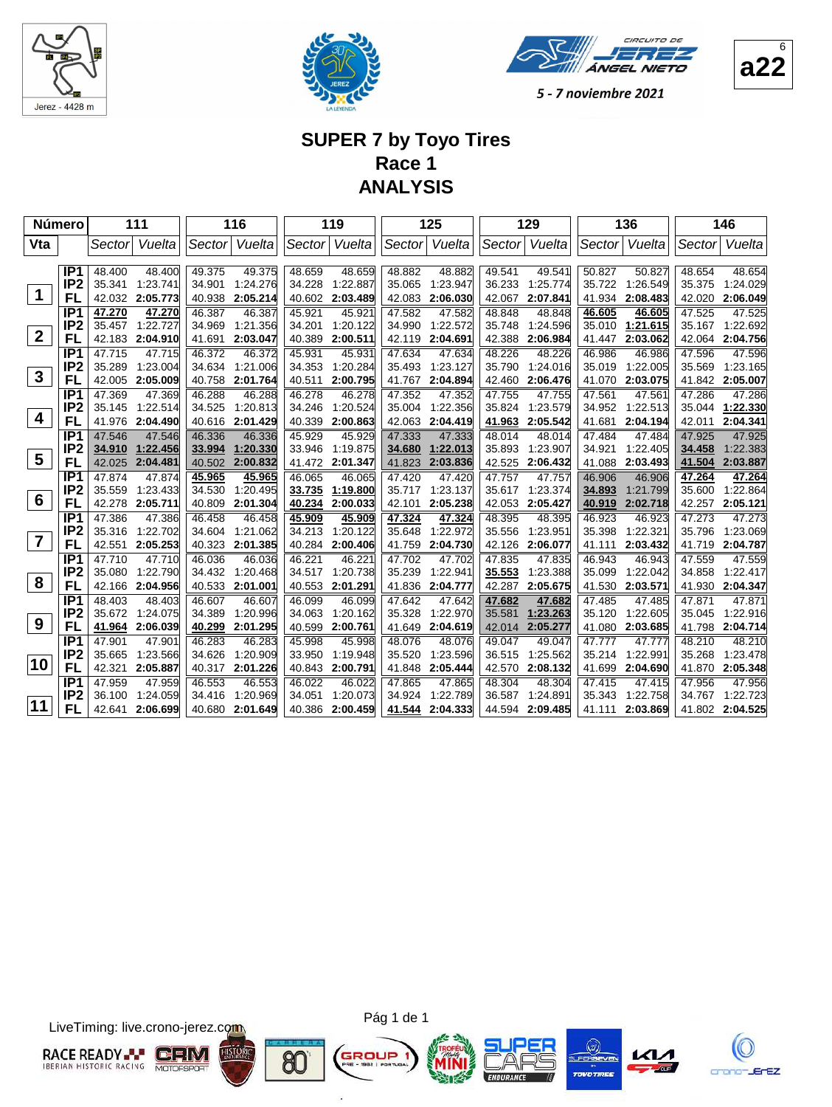





## **SUPER 7 by Toyo Tires Race 1 ANALYSIS**

| Número          |                                    |                  | 111                  |                  | 116                  |                  | 119                  |                  | 125                  |                  | 129                  |                  | 136                  |                  | 146                         |
|-----------------|------------------------------------|------------------|----------------------|------------------|----------------------|------------------|----------------------|------------------|----------------------|------------------|----------------------|------------------|----------------------|------------------|-----------------------------|
| Vta             |                                    | Sectorl          | Vuelta               | Sector           | Vuelta               | Sector           | Vuelta               | Sector           | Vuelta               | Sector           | Vuelta               | Sector           | Vuelta               | Sector           | Vuelta                      |
|                 |                                    |                  |                      |                  |                      |                  |                      |                  |                      |                  |                      |                  |                      |                  |                             |
|                 | IP <sub>1</sub><br>IP <sub>2</sub> | 48.400<br>35.341 | 48.400<br>1:23.741   | 49.375<br>34.901 | 49.375<br>1:24.276   | 48.659<br>34.228 | 48.659<br>1:22.887   | 48.882<br>35.065 | 48.882<br>1:23.947   | 49.541<br>36.233 | 49.541<br>1:25.774   | 50.827<br>35.722 | 50.827<br>1:26.549   | 48.654<br>35.375 | 48.654<br>1:24.029          |
| $\mathbf 1$     | FL                                 | 42.032           | 2:05.773             | 40.938           | 2:05.214             | 40.602           | 2:03.489             | 42.083           | 2:06.030             | 42.067           | 2:07.841             | 41.934           | 2:08.483             | 42.020           | 2:06.049                    |
|                 | IP <sub>1</sub>                    | 47.270           | 47.270               | 46.387           | 46.387               | 45.921           | 45.921               | 47.582           | 47.582               | 48.848           | 48.848               | 46.605           | 46.605               | 47.525           | 47.525                      |
|                 | IP <sub>2</sub>                    | 35.457           | 1:22.727             | 34.969           | 1:21.356             | 34.201           | 1:20.122             | 34.990           | 1:22.572             | 35.748           | 1:24.596             | 35.010           | 1:21.615             | 35.167           | 1:22.692                    |
| $\overline{2}$  | FL                                 | 42.183           | 2:04.910             | 41.691           | 2:03.047             | 40.389           | 2:00.511             | 42.119           | 2:04.691             | 42.388           | 2:06.984             | 41.447           | 2:03.062             |                  | 42.064 2:04.756             |
|                 | IP <sub>1</sub>                    | 47.715           | 47.715               | 46.372           | 46.372               | 45.931           | 45.931               | 47.634           | 47.634               | 48.226           | 48.226               | 46.986           | 46.986               | 47.596           | 47.596                      |
|                 | IP <sub>2</sub>                    | 35.289           | 1:23.004             | 34.634           | 1:21.006             | 34.353           | 1:20.284             | 35.493           | 1:23.127             | 35.790           | 1:24.016             | 35.019           | 1:22.005             | 35.569           | 1:23.165                    |
| $\mathbf{3}$    | FL                                 | 42.005           | 2:05.009             | 40.758           | 2:01.764             | 40.511           | 2:00.795             | 41.767           | 2:04.894             | 42.460           | 2:06.476             | 41.070           | 2:03.075             | 41.842           | 2:05.007                    |
|                 | IP <sub>1</sub>                    | 47.369           | 47.369               | 46.288           | 46.288               | 46.278           | 46.278               | 47.352           | 47.352               | 47.755           | 47.755               | 47.561           | 47.561               | 47.286           | 47.286                      |
|                 | IP <sub>2</sub>                    | 35.145           | 1:22.514             | 34.525           | 1:20.813             | 34.246           | 1:20.524             | 35.004           | 1:22.356             | 35.824           | 1:23.579             | 34.952           | 1:22.513             | 35.044           | 1:22.330                    |
| 4               | FL                                 | 41.976           | 2:04.490             | 40.616           | 2:01.429             | 40.339           | 2:00.863             | 42.063           | 2:04.419             | 41.963           | 2:05.542             | 41.681           | 2:04.194             | 42.011           | 2:04.341                    |
|                 | IP <sub>1</sub>                    | 47.546           | 47.546               | 46.336           | 46.336               | 45.929           | 45.929               | 47.333           | 47.333               | 48.014           | 48.014               | 47.484           | 47.484               | 47.925           | 47.925                      |
| $5\phantom{.0}$ | IP2                                | 34.910           | 1:22.456             | 33.994           | 1:20.330             | 33.946           | 1:19.875             | 34.680           | 1:22.013             | 35.893           | 1:23.907             | 34.921           | 1:22.405             | 34.458           | 1:22.383                    |
|                 | FL                                 | 42.025           | 2:04.481             | 40.502           | 2:00.832             | 41.472           | 2:01.347             | 41.823           | 2:03.836             | 42.525           | 2:06.432             | 41.088           | 2:03.493             | 41.504           | 2:03.887                    |
|                 | IP1<br>IP <sub>2</sub>             | 47.874           | 47.874               | 45.965           | 45.965<br>1:20.495   | 46.065<br>33.735 | 46.065<br>1:19.800   | 47.420<br>35.717 | 47.420<br>1:23.137   | 47.757           | 47.757               | 46.906<br>34.893 | 46.906               | 47.264<br>35.600 | 47.264<br>1:22.864          |
| 6               | FL                                 | 35.559<br>42.278 | 1:23.433<br>2:05.711 | 34.530<br>40.809 | 2:01.304             | 40.234           | 2:00.033             | 42.101           | 2:05.238             | 35.617<br>42.053 | 1:23.374<br>2:05.427 | 40.919           | 1:21.799<br>2:02.718 | 42.257           | 2:05.121                    |
|                 | IP <sub>1</sub>                    | 47.386           | 47.386               | 46.458           | 46.458               | 45.909           | 45.909               | 47.324           | 47.324               | 48.395           | 48.395               | 46.923           | 46.923               | 47.273           | 47.273                      |
|                 | IP <sub>2</sub>                    | 35.316           | 1:22.702             | 34.604           | 1:21.062             | 34.213           | 1:20.122             | 35.648           | 1:22.972             | 35.556           | 1:23.951             | 35.398           | 1:22.321             | 35.796           | 1:23.069                    |
| $\overline{7}$  | FL                                 | 42.551           | 2:05.253             | 40.323           | 2:01.385             | 40.284           | 2:00.406             | 41.759           | 2:04.730             | 42.126           | 2:06.077             | 41.111           | 2:03.432             | 41.719           | 2:04.787                    |
|                 | IP <sub>1</sub>                    | 47.710           | 47.710               | 46.036           | 46.036               | 46.221           | 46.221               | 47.702           | 47.702               | 47.835           | 47.835               | 46.943           | 46.943               | 47.559           | 47.559                      |
|                 | IP <sub>2</sub>                    | 35.080           | 1:22.790             | 34.432           | 1:20.468             | 34.517           | 1:20.738             | 35.239           | 1:22.941             | 35.553           | 1:23.388             | 35.099           | 1:22.042             | 34.858           | 1:22.417                    |
| 8               | FL                                 | 42.166           | 2:04.956             | 40.533           | 2:01.001             | 40.553           | 2:01.291             | 41.836           | 2:04.777             | 42.287           | 2:05.675             | 41.530           | 2:03.571             | 41.930           | 2:04.347                    |
|                 | IP <sub>1</sub>                    | 48.403           | 48.403               | 46.607           | 46.607               | 46.099           | 46.099               | 47.642           | 47.642               | 47.682           | 47.682               | 47.485           | 47.485               | 47.871           | 47.871                      |
|                 | IP <sub>2</sub>                    | 35.672           | 1:24.075             | 34.389           | 1:20.996             | 34.063           | 1:20.162             | 35.328           | 1:22.970             | 35.581           | 1:23.263             | 35.120           | 1:22.605             | 35.045           | 1:22.916                    |
| 9               | FL                                 | 41.964           | 2:06.039             | 40.299           | 2:01.295             | 40.599           | 2:00.761             | 41.649           | 2:04.619             | 42.014           | 2:05.277             | 41.080           | 2:03.685             | 41.798           | 2:04.714                    |
|                 | IP <sub>1</sub>                    | 47.901           | 47.901               | 46.283           | 46.283               | 45.998           | 45.998               | 48.076           | 48.076               | 49.047           | 49.047               | 47.777           | 47.777               | 48.210           | 48.210                      |
| 10              | IP <sub>2</sub>                    | 35.665           | 1:23.566             | 34.626           | 1:20.909             | 33.950           | 1:19.948             | 35.520           | 1:23.596             | 36.515           | 1:25.562             | 35.214           | 1:22.991             | 35.268           | 1:23.478                    |
|                 | FL                                 | 42.321           | 2:05.887             | 40.317           | 2:01.226             | 40.843           | 2:00.791             | 41.848           | 2:05.444             | 42.570           | 2:08.132             | 41.699           | 2:04.690             | 41.870           | 2:05.348                    |
|                 | IP <sub>1</sub><br>IP <sub>2</sub> | 47.959           | 47.959               | 46.553           | 46.553               | 46.022           | 46.022               | 47.865           | 47.865               | 48.304           | 48.304               | 47.415           | 47.415               | 47.956           | 47.956                      |
| 11              | FL                                 | 36.100<br>42.641 | 1:24.059<br>2:06.699 | 34.416<br>40.680 | 1:20.969<br>2:01.649 | 34.051<br>40.386 | 1:20.073<br>2:00.459 | 34.924<br>41.544 | 1:22.789<br>2:04.333 | 36.587<br>44.594 | 1:24.891<br>2:09.485 | 35.343<br>41.111 | 1:22.758<br>2:03.869 | 34.767           | 1:22.723<br>41.802 2:04.525 |
|                 |                                    |                  |                      |                  |                      |                  |                      |                  |                      |                  |                      |                  |                      |                  |                             |

LiveTiming: live.crono-jerez.com



Pág 1 de 1

G

ä







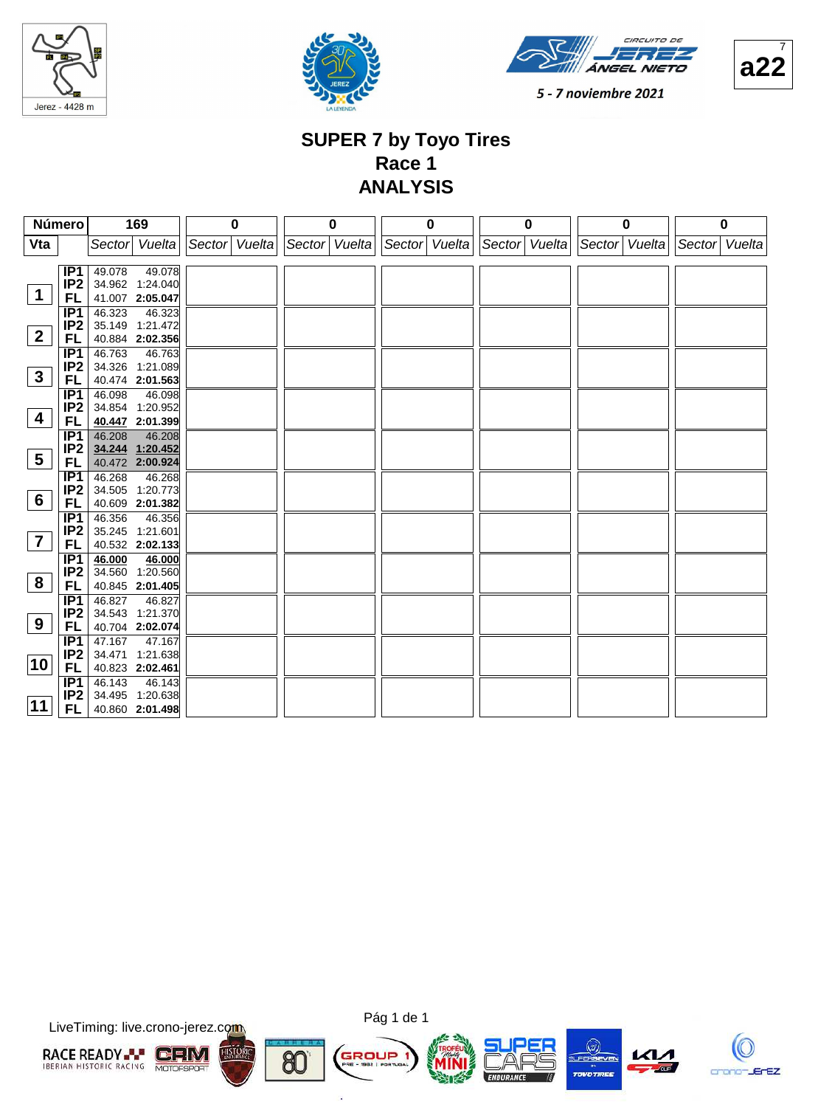





**a22** 7

5 - 7 noviembre 2021

#### **SUPER 7 by Toyo Tires Race 1 ANALYSIS**

| Número          |                        | 169                       |                    | $\bf{0}$      | 0 | 0 |                                           | $\bf{0}$ |               | 0 |               | 0 |
|-----------------|------------------------|---------------------------|--------------------|---------------|---|---|-------------------------------------------|----------|---------------|---|---------------|---|
| Vta             |                        | Sector Vuelta             |                    | Sector Vuelta |   |   | Sector Vuelta Sector Vuelta Sector Vuelta |          | Sector Vuelta |   | Sector Vuelta |   |
|                 |                        |                           |                    |               |   |   |                                           |          |               |   |               |   |
|                 | IP1                    | 49.078                    | $\frac{1}{49.078}$ |               |   |   |                                           |          |               |   |               |   |
|                 | IP <sub>2</sub>        | 34.962 1:24.040           |                    |               |   |   |                                           |          |               |   |               |   |
| $\mathbf 1$     | FL.                    | 41.007 2:05.047           |                    |               |   |   |                                           |          |               |   |               |   |
|                 | IP <sub>1</sub>        | 46.323                    | 46.323             |               |   |   |                                           |          |               |   |               |   |
|                 | IP <sub>2</sub>        | 35.149 1:21.472           |                    |               |   |   |                                           |          |               |   |               |   |
| $\mathbf{2}$    | FL.                    | 40.884 2:02.356           |                    |               |   |   |                                           |          |               |   |               |   |
|                 | IP1                    | 46.763                    | 46.763             |               |   |   |                                           |          |               |   |               |   |
|                 | IP <sub>2</sub>        | 34.326 1:21.089           |                    |               |   |   |                                           |          |               |   |               |   |
| $\mathbf{3}$    | FL.                    | 40.474 2:01.563           |                    |               |   |   |                                           |          |               |   |               |   |
|                 | IP1                    | 46.098                    | 46.098             |               |   |   |                                           |          |               |   |               |   |
| 4               | IP <sub>2</sub>        | 34.854 1:20.952           |                    |               |   |   |                                           |          |               |   |               |   |
|                 | FL.                    | 40.447 2:01.399           |                    |               |   |   |                                           |          |               |   |               |   |
|                 | IP1                    | 46.208                    | 46.208             |               |   |   |                                           |          |               |   |               |   |
| $5\phantom{.0}$ | IP <sub>2</sub>        | 34.244 1:20.452           |                    |               |   |   |                                           |          |               |   |               |   |
|                 | FL.                    | 40.472 2:00.924           |                    |               |   |   |                                           |          |               |   |               |   |
|                 | IP1                    | 46.268                    | 46.268             |               |   |   |                                           |          |               |   |               |   |
| $6\phantom{.}6$ | IP <sub>2</sub>        | 34.505 1:20.773           |                    |               |   |   |                                           |          |               |   |               |   |
|                 | FL.                    | 40.609 2:01.382           |                    |               |   |   |                                           |          |               |   |               |   |
|                 | IP1                    | 46.356                    | 46.356             |               |   |   |                                           |          |               |   |               |   |
| $\overline{7}$  | IP <sub>2</sub>        | 35.245 1:21.601           |                    |               |   |   |                                           |          |               |   |               |   |
|                 | FL.                    | 40.532 2:02.133           |                    |               |   |   |                                           |          |               |   |               |   |
|                 | IP1<br>IP <sub>2</sub> | 46.000<br>34.560 1:20.560 | 46.000             |               |   |   |                                           |          |               |   |               |   |
| 8               |                        | 40.845 2:01.405           |                    |               |   |   |                                           |          |               |   |               |   |
|                 | FL.<br>IP1             | 46.827                    | 46.827             |               |   |   |                                           |          |               |   |               |   |
|                 | IP <sub>2</sub>        | 34.543 1:21.370           |                    |               |   |   |                                           |          |               |   |               |   |
| 9               | FL.                    | 40.704 2:02.074           |                    |               |   |   |                                           |          |               |   |               |   |
|                 | IP1                    | 47.167                    | 47.167             |               |   |   |                                           |          |               |   |               |   |
|                 | IP <sub>2</sub>        | 34.471 1:21.638           |                    |               |   |   |                                           |          |               |   |               |   |
| 10              | FL.                    | 40.823 2:02.461           |                    |               |   |   |                                           |          |               |   |               |   |
|                 | IP1                    | 46.143                    | 46.143             |               |   |   |                                           |          |               |   |               |   |
|                 | IP <sub>2</sub>        | 34.495 1:20.638           |                    |               |   |   |                                           |          |               |   |               |   |
| $ 11\rangle$    | FL.                    | 40.860 2:01.498           |                    |               |   |   |                                           |          |               |   |               |   |
|                 |                        |                           |                    |               |   |   |                                           |          |               |   |               |   |

LiveTiming: live.crono-jerez.com





G

ä







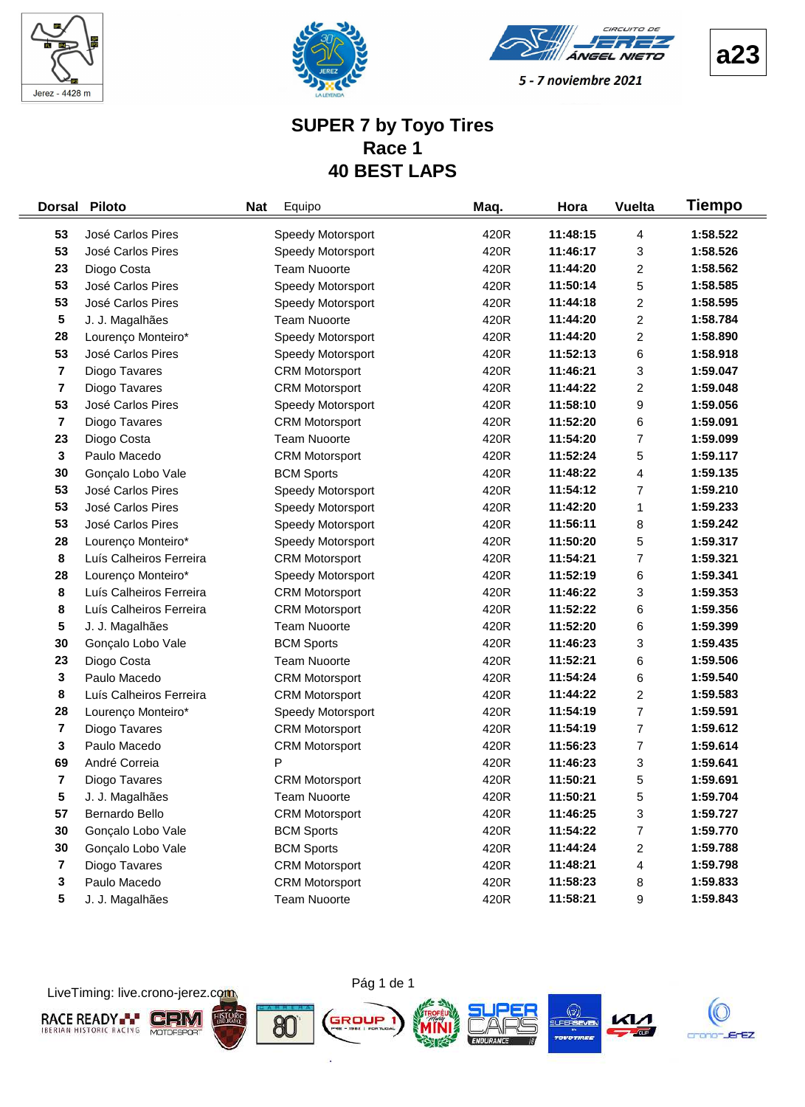





#### **SUPER 7 by Toyo Tires Race 1 40 BEST LAPS**

| <b>Dorsal</b>           | <b>Piloto</b>           | <b>Nat</b> | Equipo                | Maq. | Hora     | <b>Vuelta</b>           | Tiempo   |
|-------------------------|-------------------------|------------|-----------------------|------|----------|-------------------------|----------|
| 53                      | José Carlos Pires       |            | Speedy Motorsport     | 420R | 11:48:15 | 4                       | 1:58.522 |
| 53                      | José Carlos Pires       |            | Speedy Motorsport     | 420R | 11:46:17 | 3                       | 1:58.526 |
| 23                      | Diogo Costa             |            | <b>Team Nuoorte</b>   | 420R | 11:44:20 | 2                       | 1:58.562 |
| 53                      | José Carlos Pires       |            | Speedy Motorsport     | 420R | 11:50:14 | 5                       | 1:58.585 |
| 53                      | José Carlos Pires       |            | Speedy Motorsport     | 420R | 11:44:18 | $\overline{c}$          | 1:58.595 |
| 5                       | J. J. Magalhães         |            | <b>Team Nuoorte</b>   | 420R | 11:44:20 | $\overline{c}$          | 1:58.784 |
| 28                      | Lourenço Monteiro*      |            | Speedy Motorsport     | 420R | 11:44:20 | 2                       | 1:58.890 |
| 53                      | José Carlos Pires       |            | Speedy Motorsport     | 420R | 11:52:13 | 6                       | 1:58.918 |
| $\overline{\mathbf{7}}$ | Diogo Tavares           |            | <b>CRM Motorsport</b> | 420R | 11:46:21 | 3                       | 1:59.047 |
| $\overline{\mathbf{7}}$ | Diogo Tavares           |            | <b>CRM Motorsport</b> | 420R | 11:44:22 | $\overline{c}$          | 1:59.048 |
| 53                      | José Carlos Pires       |            | Speedy Motorsport     | 420R | 11:58:10 | 9                       | 1:59.056 |
| 7                       | Diogo Tavares           |            | <b>CRM Motorsport</b> | 420R | 11:52:20 | 6                       | 1:59.091 |
| 23                      | Diogo Costa             |            | <b>Team Nuoorte</b>   | 420R | 11:54:20 | 7                       | 1:59.099 |
| 3                       | Paulo Macedo            |            | <b>CRM Motorsport</b> | 420R | 11:52:24 | 5                       | 1:59.117 |
| 30                      | Gonçalo Lobo Vale       |            | <b>BCM Sports</b>     | 420R | 11:48:22 | 4                       | 1:59.135 |
| 53                      | José Carlos Pires       |            | Speedy Motorsport     | 420R | 11:54:12 | 7                       | 1:59.210 |
| 53                      | José Carlos Pires       |            | Speedy Motorsport     | 420R | 11:42:20 | 1                       | 1:59.233 |
| 53                      | José Carlos Pires       |            | Speedy Motorsport     | 420R | 11:56:11 | 8                       | 1:59.242 |
| 28                      | Lourenço Monteiro*      |            | Speedy Motorsport     | 420R | 11:50:20 | 5                       | 1:59.317 |
| 8                       | Luís Calheiros Ferreira |            | <b>CRM Motorsport</b> | 420R | 11:54:21 | 7                       | 1:59.321 |
| 28                      | Lourenço Monteiro*      |            | Speedy Motorsport     | 420R | 11:52:19 | 6                       | 1:59.341 |
| 8                       | Luís Calheiros Ferreira |            | <b>CRM Motorsport</b> | 420R | 11:46:22 | 3                       | 1:59.353 |
| 8                       | Luís Calheiros Ferreira |            | <b>CRM Motorsport</b> | 420R | 11:52:22 | 6                       | 1:59.356 |
| 5                       | J. J. Magalhães         |            | <b>Team Nuoorte</b>   | 420R | 11:52:20 | 6                       | 1:59.399 |
| 30                      | Gonçalo Lobo Vale       |            | <b>BCM Sports</b>     | 420R | 11:46:23 | 3                       | 1:59.435 |
| 23                      | Diogo Costa             |            | <b>Team Nuoorte</b>   | 420R | 11:52:21 | 6                       | 1:59.506 |
| 3                       | Paulo Macedo            |            | <b>CRM Motorsport</b> | 420R | 11:54:24 | 6                       | 1:59.540 |
| 8                       | Luís Calheiros Ferreira |            | <b>CRM Motorsport</b> | 420R | 11:44:22 | 2                       | 1:59.583 |
| 28                      | Lourenço Monteiro*      |            | Speedy Motorsport     | 420R | 11:54:19 | $\overline{7}$          | 1:59.591 |
| $\overline{\mathbf{7}}$ | Diogo Tavares           |            | <b>CRM Motorsport</b> | 420R | 11:54:19 | 7                       | 1:59.612 |
| 3                       | Paulo Macedo            |            | <b>CRM Motorsport</b> | 420R | 11:56:23 | 7                       | 1:59.614 |
| 69                      | André Correia           |            | P                     | 420R | 11:46:23 | 3                       | 1:59.641 |
| $\overline{7}$          | Diogo Tavares           |            | <b>CRM Motorsport</b> | 420R | 11:50:21 | 5                       | 1:59.691 |
| 5                       | J. J. Magalhães         |            | <b>Team Nuoorte</b>   | 420R | 11:50:21 | 5                       | 1:59.704 |
| 57                      | Bernardo Bello          |            | <b>CRM Motorsport</b> | 420R | 11:46:25 | 3                       | 1:59.727 |
| 30                      | Gonçalo Lobo Vale       |            | <b>BCM Sports</b>     | 420R | 11:54:22 | $\boldsymbol{7}$        | 1:59.770 |
| 30                      | Gonçalo Lobo Vale       |            | <b>BCM Sports</b>     | 420R | 11:44:24 | $\overline{\mathbf{c}}$ | 1:59.788 |
| $\overline{7}$          | Diogo Tavares           |            | <b>CRM Motorsport</b> | 420R | 11:48:21 | 4                       | 1:59.798 |
| 3                       | Paulo Macedo            |            | <b>CRM Motorsport</b> | 420R | 11:58:23 | 8                       | 1:59.833 |
| 5                       | J. J. Magalhães         |            | <b>Team Nuoorte</b>   | 420R | 11:58:21 | 9                       | 1:59.843 |

Pág 1 de 1

LiveTiming: live.crono-jerez.com



i.



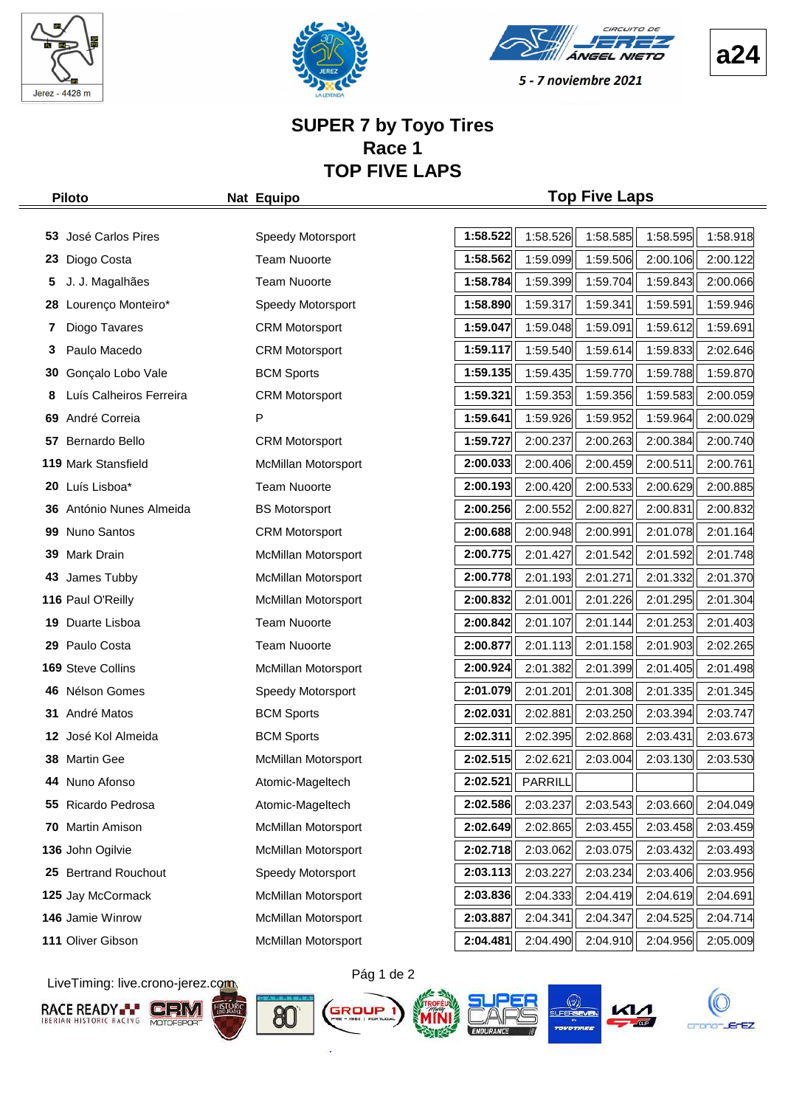





**a24**

5 - 7 noviembre 2021

#### **SUPER 7 by Toyo Tires Race 1 TOP FIVE LAPS**

#### **Piloto Nat Equipo Top Five Laps**

| 53. | José Carlos Pires        | Speedy Motorsport          | 1:58.522 | 1:58.526 | 1:58.585 | 1:58.595 | 1:58.918 |
|-----|--------------------------|----------------------------|----------|----------|----------|----------|----------|
| 23  | Diogo Costa              | <b>Team Nuoorte</b>        | 1:58.562 | 1:59.099 | 1:59.506 | 2:00.106 | 2:00.122 |
| 5   | J. J. Magalhães          | <b>Team Nuoorte</b>        | 1:58.784 | 1:59.399 | 1:59.704 | 1:59.843 | 2:00.066 |
| 28  | Lourenço Monteiro*       | Speedy Motorsport          | 1:58.890 | 1:59.317 | 1:59.341 | 1:59.591 | 1:59.946 |
| 7   | Diogo Tavares            | <b>CRM Motorsport</b>      | 1:59.047 | 1:59.048 | 1:59.091 | 1:59.612 | 1:59.691 |
| 3   | Paulo Macedo             | <b>CRM Motorsport</b>      | 1:59.117 | 1:59.540 | 1:59.614 | 1:59.833 | 2:02.646 |
| 30  | Gonçalo Lobo Vale        | <b>BCM Sports</b>          | 1:59.135 | 1:59.435 | 1:59.770 | 1:59.788 | 1:59.870 |
| 8   | Luís Calheiros Ferreira  | <b>CRM Motorsport</b>      | 1:59.321 | 1:59.353 | 1:59.356 | 1:59.583 | 2:00.059 |
| 69  | André Correia            | P                          | 1:59.641 | 1:59.926 | 1:59.952 | 1:59.964 | 2:00.029 |
| 57  | Bernardo Bello           | <b>CRM Motorsport</b>      | 1:59.727 | 2:00.237 | 2:00.263 | 2:00.384 | 2:00.740 |
|     | 119 Mark Stansfield      | <b>McMillan Motorsport</b> | 2:00.033 | 2:00.406 | 2:00.459 | 2:00.511 | 2:00.761 |
|     | 20 Luís Lisboa*          | <b>Team Nuoorte</b>        | 2:00.193 | 2:00.420 | 2:00.533 | 2:00.629 | 2:00.885 |
| 36  | António Nunes Almeida    | <b>BS Motorsport</b>       | 2:00.256 | 2:00.552 | 2:00.827 | 2:00.831 | 2:00.832 |
| 99  | Nuno Santos              | <b>CRM Motorsport</b>      | 2:00.688 | 2:00.948 | 2:00.991 | 2:01.078 | 2:01.164 |
| 39  | Mark Drain               | McMillan Motorsport        | 2:00.775 | 2:01.427 | 2:01.542 | 2:01.592 | 2:01.748 |
| 43  | James Tubby              | McMillan Motorsport        | 2:00.778 | 2:01.193 | 2:01.271 | 2:01.332 | 2:01.370 |
|     | 116 Paul O'Reilly        | <b>McMillan Motorsport</b> | 2:00.832 | 2:01.001 | 2:01.226 | 2:01.295 | 2:01.304 |
| 19  | Duarte Lisboa            | <b>Team Nuoorte</b>        | 2:00.842 | 2:01.107 | 2:01.144 | 2:01.253 | 2:01.403 |
| 29  | Paulo Costa              | <b>Team Nuoorte</b>        | 2:00.877 | 2:01.113 | 2:01.158 | 2:01.903 | 2:02.265 |
|     | 169 Steve Collins        | <b>McMillan Motorsport</b> | 2:00.924 | 2:01.382 | 2:01.399 | 2:01.405 | 2:01.498 |
| 46  | Nélson Gomes             | Speedy Motorsport          | 2:01.079 | 2:01.201 | 2:01.308 | 2:01.335 | 2:01.345 |
| 31  | André Matos              | <b>BCM Sports</b>          | 2:02.031 | 2:02.881 | 2:03.250 | 2:03.394 | 2:03.747 |
| 12  | José Kol Almeida         | <b>BCM Sports</b>          | 2:02.311 | 2:02.395 | 2:02.868 | 2:03.431 | 2:03.673 |
| 38  | <b>Martin Gee</b>        | McMillan Motorsport        | 2:02.515 | 2:02.621 | 2:03.004 | 2:03.130 | 2:03.530 |
| 44  | Nuno Afonso              | Atomic-Mageltech           | 2:02.521 | PARRILL  |          |          |          |
|     | 55 Ricardo Pedrosa       | Atomic-Mageltech           | 2:02.586 | 2:03.237 | 2:03.543 | 2:03.660 | 2:04.049 |
|     | 70 Martin Amison         | McMillan Motorsport        | 2:02.649 | 2:02.865 | 2:03.455 | 2:03.458 | 2:03.459 |
|     | 136 John Ogilvie         | McMillan Motorsport        | 2:02.718 | 2:03.062 | 2:03.075 | 2:03.432 | 2:03.493 |
| 25. | <b>Bertrand Rouchout</b> | Speedy Motorsport          | 2:03.113 | 2:03.227 | 2:03.234 | 2:03.406 | 2:03.956 |
|     | 125 Jay McCormack        | <b>McMillan Motorsport</b> | 2:03.836 | 2:04.333 | 2:04.419 | 2:04.619 | 2:04.691 |
|     | 146 Jamie Winrow         | McMillan Motorsport        | 2:03.887 | 2:04.341 | 2:04.347 | 2:04.525 | 2:04.714 |
|     | 111 Oliver Gibson        | McMillan Motorsport        | 2:04.481 | 2:04.490 | 2:04.910 | 2:04.956 | 2:05.009 |
|     |                          |                            |          |          |          |          |          |

LiveTiming: live.crono-jerez.com













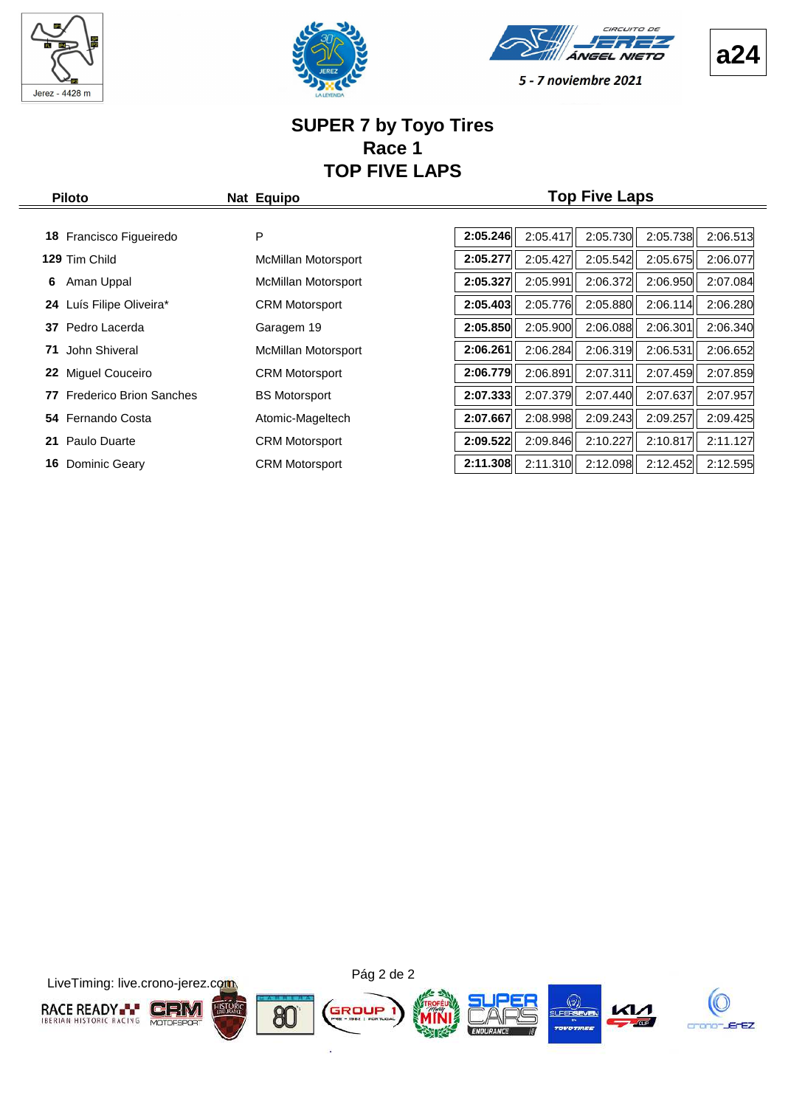





#### **SUPER 7 by Toyo Tires Race 1 TOP FIVE LAPS**

| <b>Piloto</b>                        | Nat Equipo                 |          |          | <b>Top Five Laps</b> |          |          |
|--------------------------------------|----------------------------|----------|----------|----------------------|----------|----------|
|                                      |                            |          |          |                      |          |          |
| Francisco Figueiredo<br>18           | P                          | 2:05.246 | 2:05.417 | 2:05.730             | 2:05.738 | 2:06.513 |
| 129 Tim Child                        | <b>McMillan Motorsport</b> | 2:05.277 | 2:05.427 | 2:05.542             | 2:05.675 | 2:06.077 |
| Aman Uppal<br>6                      | McMillan Motorsport        | 2:05.327 | 2:05.991 | 2:06.372             | 2:06.950 | 2:07.084 |
| Luís Filipe Oliveira*<br>24          | <b>CRM Motorsport</b>      | 2:05.403 | 2:05.776 | 2:05.880             | 2:06.114 | 2:06.280 |
| Pedro Lacerda<br>37                  | Garagem 19                 | 2:05.850 | 2:05.900 | 2:06.088             | 2:06.301 | 2:06.340 |
| John Shiveral<br>71                  | <b>McMillan Motorsport</b> | 2:06.261 | 2:06.284 | 2:06.319             | 2:06.531 | 2:06.652 |
| Miguel Couceiro<br>22                | <b>CRM Motorsport</b>      | 2:06.779 | 2:06.891 | 2:07.311             | 2:07.459 | 2:07.859 |
| <b>Frederico Brion Sanches</b><br>77 | <b>BS Motorsport</b>       | 2:07.333 | 2:07.379 | 2:07.440             | 2:07.637 | 2:07.957 |
| Fernando Costa<br>54                 | Atomic-Mageltech           | 2:07.667 | 2:08.998 | 2:09.243             | 2:09.257 | 2:09.425 |
| 21 Paulo Duarte                      | <b>CRM Motorsport</b>      | 2:09.522 | 2:09.846 | 2:10.227             | 2:10.817 | 2:11.127 |

**16** Dominic Geary **2:12.595** CRM Motorsport **2:11.308** 2:11.310 2:12.098 2:12.452 2:12.595



**a24**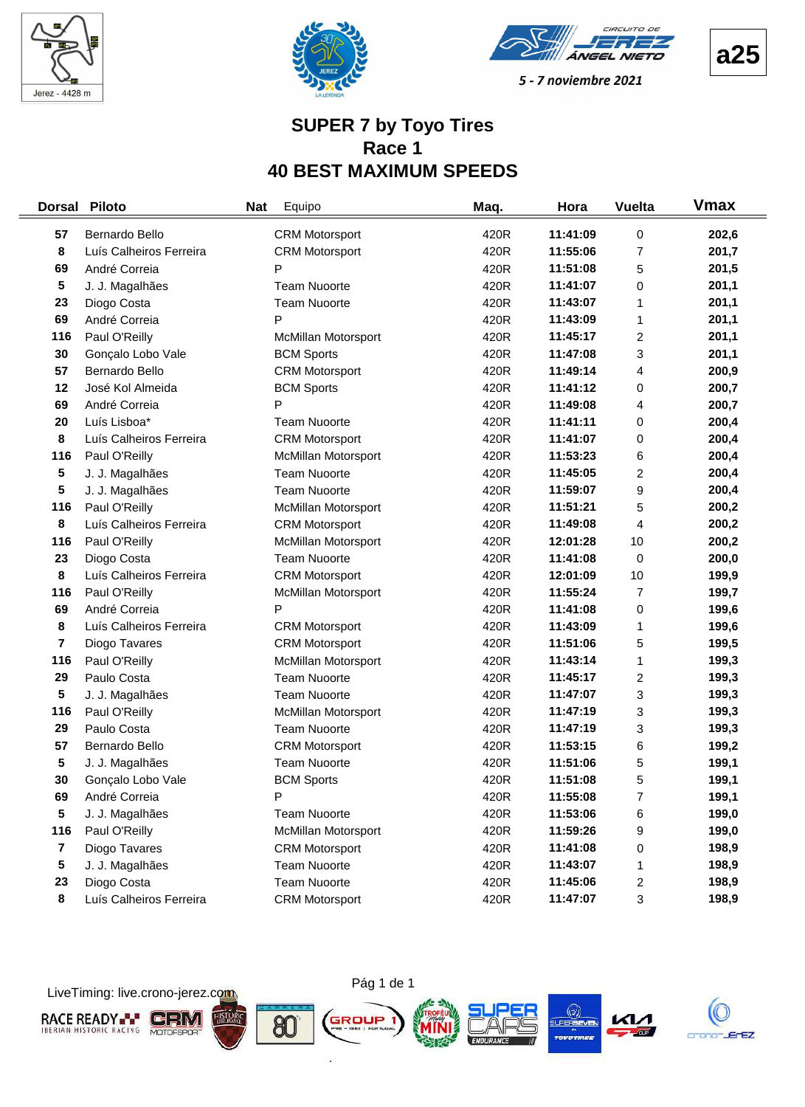





**a25**

C

5 - 7 noviembre 2021

#### **SUPER 7 by Toyo Tires Race 1 40 BEST MAXIMUM SPEEDS**

| <b>Dorsal</b>  | <b>Piloto</b>           | <b>Nat</b> | Equipo                     | Maq. | Hora     | <b>Vuelta</b>           | <b>V</b> max |
|----------------|-------------------------|------------|----------------------------|------|----------|-------------------------|--------------|
| 57             | Bernardo Bello          |            | <b>CRM Motorsport</b>      | 420R | 11:41:09 | 0                       | 202,6        |
| 8              | Luís Calheiros Ferreira |            | <b>CRM Motorsport</b>      | 420R | 11:55:06 | $\overline{7}$          | 201,7        |
| 69             | André Correia           |            | P                          | 420R | 11:51:08 | 5                       | 201,5        |
| 5              | J. J. Magalhães         |            | <b>Team Nuoorte</b>        | 420R | 11:41:07 | 0                       | 201,1        |
| 23             | Diogo Costa             |            | <b>Team Nuoorte</b>        | 420R | 11:43:07 | 1                       | 201,1        |
| 69             | André Correia           |            | P                          | 420R | 11:43:09 | 1                       | 201,1        |
| 116            | Paul O'Reilly           |            | McMillan Motorsport        | 420R | 11:45:17 | 2                       | 201,1        |
| 30             | Gonçalo Lobo Vale       |            | <b>BCM Sports</b>          | 420R | 11:47:08 | 3                       | 201,1        |
| 57             | Bernardo Bello          |            | <b>CRM Motorsport</b>      | 420R | 11:49:14 | 4                       | 200,9        |
| 12             | José Kol Almeida        |            | <b>BCM Sports</b>          | 420R | 11:41:12 | 0                       | 200,7        |
| 69             | André Correia           |            | P                          | 420R | 11:49:08 | 4                       | 200,7        |
| 20             | Luís Lisboa*            |            | <b>Team Nuoorte</b>        | 420R | 11:41:11 | 0                       | 200,4        |
| 8              | Luís Calheiros Ferreira |            | <b>CRM Motorsport</b>      | 420R | 11:41:07 | 0                       | 200,4        |
| 116            | Paul O'Reilly           |            | <b>McMillan Motorsport</b> | 420R | 11:53:23 | 6                       | 200,4        |
| 5              | J. J. Magalhães         |            | <b>Team Nuoorte</b>        | 420R | 11:45:05 | $\overline{\mathbf{c}}$ | 200,4        |
| 5              | J. J. Magalhães         |            | <b>Team Nuoorte</b>        | 420R | 11:59:07 | 9                       | 200,4        |
| 116            | Paul O'Reilly           |            | McMillan Motorsport        | 420R | 11:51:21 | 5                       | 200,2        |
| 8              | Luís Calheiros Ferreira |            | <b>CRM Motorsport</b>      | 420R | 11:49:08 | 4                       | 200,2        |
| 116            | Paul O'Reilly           |            | McMillan Motorsport        | 420R | 12:01:28 | 10                      | 200,2        |
| 23             | Diogo Costa             |            | <b>Team Nuoorte</b>        | 420R | 11:41:08 | 0                       | 200,0        |
| 8              | Luís Calheiros Ferreira |            | <b>CRM Motorsport</b>      | 420R | 12:01:09 | 10                      | 199,9        |
| 116            | Paul O'Reilly           |            | McMillan Motorsport        | 420R | 11:55:24 | $\overline{7}$          | 199,7        |
| 69             | André Correia           |            | P                          | 420R | 11:41:08 | 0                       | 199,6        |
| 8              | Luís Calheiros Ferreira |            | <b>CRM Motorsport</b>      | 420R | 11:43:09 | 1                       | 199,6        |
| 7              | Diogo Tavares           |            | <b>CRM Motorsport</b>      | 420R | 11:51:06 | 5                       | 199,5        |
| 116            | Paul O'Reilly           |            | McMillan Motorsport        | 420R | 11:43:14 | 1                       | 199,3        |
| 29             | Paulo Costa             |            | <b>Team Nuoorte</b>        | 420R | 11:45:17 | $\overline{\mathbf{c}}$ | 199,3        |
| 5              | J. J. Magalhães         |            | <b>Team Nuoorte</b>        | 420R | 11:47:07 | 3                       | 199,3        |
| 116            | Paul O'Reilly           |            | McMillan Motorsport        | 420R | 11:47:19 | 3                       | 199,3        |
| 29             | Paulo Costa             |            | <b>Team Nuoorte</b>        | 420R | 11:47:19 | 3                       | 199,3        |
| 57             | Bernardo Bello          |            | <b>CRM Motorsport</b>      | 420R | 11:53:15 | 6                       | 199,2        |
| 5              | J. J. Magalhães         |            | <b>Team Nuoorte</b>        | 420R | 11:51:06 | 5                       | 199,1        |
| 30             | Gonçalo Lobo Vale       |            | <b>BCM Sports</b>          | 420R | 11:51:08 | 5                       | 199,1        |
| 69             | André Correia           |            | P                          | 420R | 11:55:08 | 7                       | 199,1        |
| 5              | J. J. Magalhães         |            | <b>Team Nuoorte</b>        | 420R | 11:53:06 | 6                       | 199,0        |
| 116            | Paul O'Reilly           |            | McMillan Motorsport        | 420R | 11:59:26 | 9                       | 199,0        |
| $\overline{7}$ | Diogo Tavares           |            | <b>CRM Motorsport</b>      | 420R | 11:41:08 | 0                       | 198,9        |
| 5              | J. J. Magalhães         |            | <b>Team Nuoorte</b>        | 420R | 11:43:07 | 1                       | 198,9        |
| 23             | Diogo Costa             |            | <b>Team Nuoorte</b>        | 420R | 11:45:06 | $\overline{\mathbf{c}}$ | 198,9        |
| 8              | Luís Calheiros Ferreira |            | <b>CRM Motorsport</b>      | 420R | 11:47:07 | 3                       | 198,9        |

LiveTiming: live.crono-jerez.com



ò.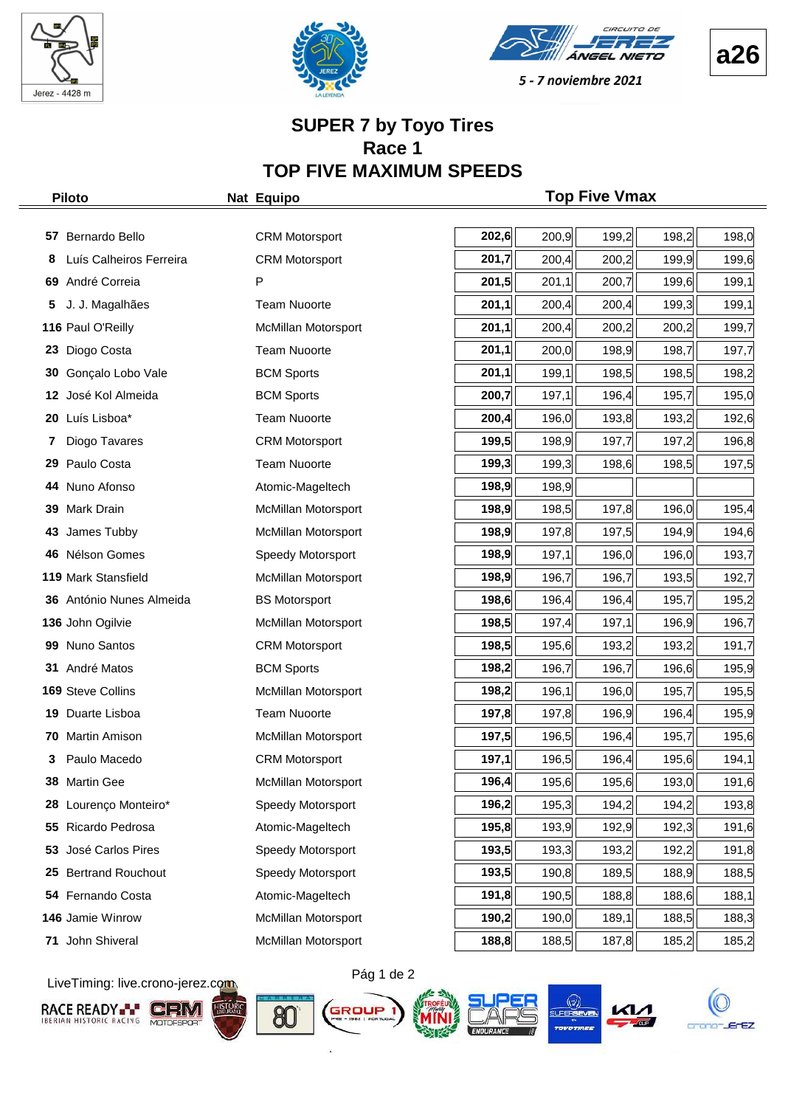







#### **SUPER 7 by Toyo Tires Race 1 TOP FIVE MAXIMUM SPEEDS**

|    | <b>Piloto</b>            | Nat Equipo                 |       |       | <b>Top Five Vmax</b> |       |       |
|----|--------------------------|----------------------------|-------|-------|----------------------|-------|-------|
|    |                          |                            |       |       |                      |       |       |
| 57 | Bernardo Bello           | <b>CRM Motorsport</b>      | 202,6 | 200,9 | 199,2                | 198,2 | 198,0 |
| 8  | Luís Calheiros Ferreira  | <b>CRM Motorsport</b>      | 201,7 | 200,4 | 200,2                | 199,9 | 199,6 |
| 69 | André Correia            | P                          | 201,5 | 201,1 | 200,7                | 199,6 | 199,1 |
| 5  | J. J. Magalhães          | <b>Team Nuoorte</b>        | 201,1 | 200,4 | 200,4                | 199,3 | 199,1 |
|    | 116 Paul O'Reilly        | <b>McMillan Motorsport</b> | 201,1 | 200,4 | 200,2                | 200,2 | 199,7 |
| 23 | Diogo Costa              | <b>Team Nuoorte</b>        | 201,1 | 200,0 | 198,9                | 198,7 | 197,7 |
| 30 | Gonçalo Lobo Vale        | <b>BCM Sports</b>          | 201,1 | 199,1 | 198,5                | 198,5 | 198,2 |
| 12 | José Kol Almeida         | <b>BCM Sports</b>          | 200,7 | 197,1 | 196,4                | 195,7 | 195,0 |
| 20 | Luís Lisboa*             | <b>Team Nuoorte</b>        | 200,4 | 196,0 | 193,8                | 193,2 | 192,6 |
| 7  | Diogo Tavares            | <b>CRM Motorsport</b>      | 199,5 | 198,9 | 197,7                | 197,2 | 196,8 |
| 29 | Paulo Costa              | <b>Team Nuoorte</b>        | 199,3 | 199,3 | 198,6                | 198,5 | 197,5 |
| 44 | Nuno Afonso              | Atomic-Mageltech           | 198,9 | 198,9 |                      |       |       |
| 39 | Mark Drain               | McMillan Motorsport        | 198,9 | 198,5 | 197,8                | 196,0 | 195,4 |
| 43 | James Tubby              | McMillan Motorsport        | 198,9 | 197,8 | 197,5                | 194,9 | 194,6 |
| 46 | Nélson Gomes             | Speedy Motorsport          | 198,9 | 197,1 | 196,0                | 196,0 | 193,7 |
|    | 119 Mark Stansfield      | McMillan Motorsport        | 198,9 | 196,7 | 196,7                | 193,5 | 192,7 |
|    | 36 António Nunes Almeida | <b>BS Motorsport</b>       | 198,6 | 196,4 | 196,4                | 195,7 | 195,2 |
|    | 136 John Ogilvie         | McMillan Motorsport        | 198,5 | 197,4 | 197,1                | 196,9 | 196,7 |
| 99 | Nuno Santos              | <b>CRM Motorsport</b>      | 198,5 | 195,6 | 193,2                | 193,2 | 191,7 |
|    | 31 André Matos           | <b>BCM Sports</b>          | 198,2 | 196,7 | 196,7                | 196,6 | 195,9 |
|    | 169 Steve Collins        | McMillan Motorsport        | 198,2 | 196,1 | 196,0                | 195,7 | 195,5 |
| 19 | Duarte Lisboa            | <b>Team Nuoorte</b>        | 197,8 | 197,8 | 196,9                | 196,4 | 195,9 |
|    | 70 Martin Amison         | McMillan Motorsport        | 197,5 | 196,5 | 196,4                | 195,7 | 195,6 |
| 3  | Paulo Macedo             | <b>CRM Motorsport</b>      | 197,1 | 196,5 | 196,4                | 195,6 | 194,1 |
|    | 38 Martin Gee            | McMillan Motorsport        | 196,4 | 195,6 | 195,6                | 193,0 | 191,6 |
| 28 | Lourenço Monteiro*       | Speedy Motorsport          | 196,2 | 195,3 | 194,2                | 194,2 | 193,8 |
| 55 | Ricardo Pedrosa          | Atomic-Mageltech           | 195,8 | 193,9 | 192,9                | 192,3 | 191,6 |
| 53 | José Carlos Pires        | Speedy Motorsport          | 193,5 | 193,3 | 193,2                | 192,2 | 191,8 |
| 25 | <b>Bertrand Rouchout</b> | Speedy Motorsport          | 193,5 | 190,8 | 189,5                | 188,9 | 188,5 |
| 54 | Fernando Costa           | Atomic-Mageltech           | 191,8 | 190,5 | 188,8                | 188,6 | 188,1 |
|    | 146 Jamie Winrow         | McMillan Motorsport        | 190,2 | 190,0 | 189,1                | 188,5 | 188,3 |
| 71 | John Shiveral            | McMillan Motorsport        | 188,8 | 188,5 | 187,8                | 185,2 | 185,2 |

LiveTiming: live.crono-jerez.com













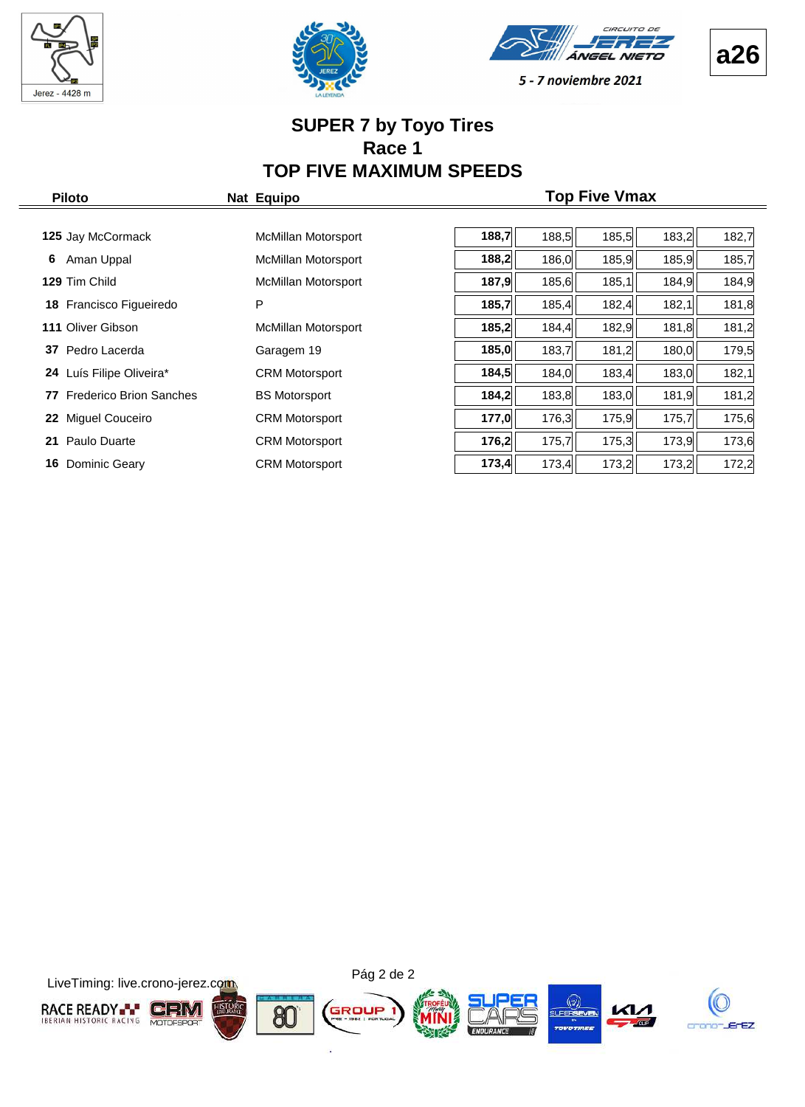







#### **SUPER 7 by Toyo Tires Race 1 TOP FIVE MAXIMUM SPEEDS**

| <b>Piloto</b>                        | Nat Equipo                 |       |       | <b>Top Five Vmax</b> |       |       |
|--------------------------------------|----------------------------|-------|-------|----------------------|-------|-------|
|                                      |                            |       |       |                      |       |       |
| 125 Jay McCormack                    | McMillan Motorsport        | 188,7 | 188,5 | 185,5                | 183,2 | 182,7 |
| Aman Uppal<br>6                      | <b>McMillan Motorsport</b> | 188,2 | 186,0 | 185,9                | 185,9 | 185,7 |
| 129 Tim Child                        | McMillan Motorsport        | 187,9 | 185,6 | 185,1                | 184,9 | 184,9 |
| 18 Francisco Figueiredo              | P                          | 185,7 | 185,4 | 182,4                | 182,1 | 181,8 |
| 111 Oliver Gibson                    | McMillan Motorsport        | 185,2 | 184,4 | 182,9                | 181,8 | 181,2 |
| Pedro Lacerda<br>37                  | Garagem 19                 | 185,0 | 183,7 | 181,2                | 180,0 | 179,5 |
| 24 Luís Filipe Oliveira*             | <b>CRM Motorsport</b>      | 184,5 | 184,0 | 183,4                | 183,0 | 182,1 |
| <b>Frederico Brion Sanches</b><br>77 | <b>BS Motorsport</b>       | 184,2 | 183,8 | 183,0                | 181,9 | 181,2 |
| <b>Miquel Couceiro</b><br>22         | <b>CRM Motorsport</b>      | 177,0 | 176,3 | 175,9                | 175,7 | 175,6 |
| Paulo Duarte<br>21                   | <b>CRM Motorsport</b>      | 176,2 | 175,7 | 175,3                | 173,9 | 173,6 |
| Dominic Geary<br>16                  | <b>CRM Motorsport</b>      | 173,4 | 173,4 | 173,2                | 173,2 | 172,2 |

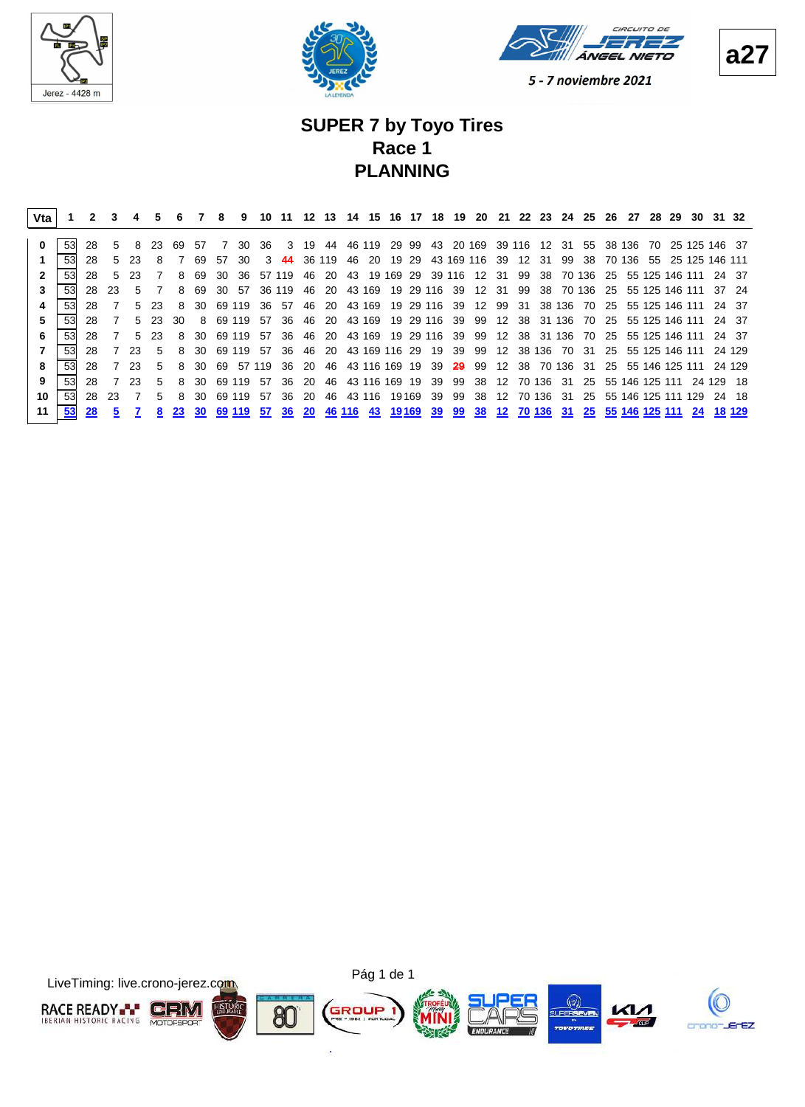





# **SUPER 7 by Toyo Tires Race 1 PLANNING**

| Vta |    |       |       |             | 5     |     |              | 8      | 9      | 10           | 11     |      | 12 13  |    |                        |       |     |     | <b>20</b>                                                       | -21 |              |       | 22 23 24 25 |                                   | -26 | -27 |                    | 28 29 | 30  | 31 32                    |        |
|-----|----|-------|-------|-------------|-------|-----|--------------|--------|--------|--------------|--------|------|--------|----|------------------------|-------|-----|-----|-----------------------------------------------------------------|-----|--------------|-------|-------------|-----------------------------------|-----|-----|--------------------|-------|-----|--------------------------|--------|
|     | 53 | 28    | $5 -$ | -8          | 23.   | 69  | .57          | 7      | 30.    | -36          |        | 3 19 |        |    | 44 46 119 29 99        |       |     |     | 43  20  169  39  116  12  31  55  38  136  70  25  125  146  37 |     |              |       |             |                                   |     |     |                    |       |     |                          |        |
|     |    |       |       |             |       |     |              |        |        |              |        |      |        |    |                        |       |     |     |                                                                 |     |              |       |             |                                   |     |     |                    |       |     |                          |        |
|     | 53 | 28    | $5 -$ | -23         | 8     |     | 69           | 57     | 30.    | $\mathbf{3}$ | 44     |      | 36 119 | 46 | -20                    | 19 29 |     |     | 43 169 116 39                                                   |     |              | 12 31 | 99          | -38                               |     |     |                    |       |     | 70 136 55 25 125 146 111 |        |
|     | 53 | 28    | $5 -$ | 23          |       | 8   | 69           | 30     | -36    |              | 57 119 | 46   | 20     |    | 43 19 169 29           |       |     |     | 39 116 12 31                                                    |     | 99           |       |             | 38 70 136                         |     |     |                    |       |     | 25 55 125 146 111 24 37  |        |
|     | 53 | 28    | -23.  | 5           |       | 8   | 69           | 30     | 57     |              | 36 119 | 46   |        |    | 20 43 169 19 29 116 39 |       |     |     | 12 31                                                           |     | - 99         |       |             | 38 70 136 25 55 125 146 111 37 24 |     |     |                    |       |     |                          |        |
|     | 53 | 28.   |       | 5.          | -23   | 8   | 30.          | 69 119 |        | -36          | -57    | 46   | 20     |    | 43 169 19 29 116       |       |     | -39 | 12                                                              | 99  | -31          |       | 38 136      | 70                                |     |     | 25 55 125 146 111  |       |     |                          | 24 37  |
| 5   | 53 | 28    |       |             | 5 23  | 30. | 8            |        | 69 119 | .57          | -36    | 46   | 20     |    | 43 169                 |       |     |     | 19 29 116 39 99 12 38 31 136                                    |     |              |       |             | 70                                |     |     | 25 55 125 146 111  |       |     |                          | 24 37  |
| 6   | 53 | 28    |       | $5^{\circ}$ | -23.  | 8   | -30-         | 69 119 |        | 57           | -36    | -46  |        |    |                        |       |     |     | 20 43 169 19 29 116 39 99 12 38 31 136 70                       |     |              |       |             |                                   |     |     | 25 55 125 146 111  |       |     |                          | 24 37  |
|     | 53 | 28    |       | 23          | 5     | 8   | -30          |        |        | 69 119 57    | -36    | 46   | -20    |    | 43 169 116 29          |       |     |     | 19 39 99 12 38 136 70                                           |     |              |       |             | - 31                              |     |     | 25 55 125 146 111  |       |     |                          | 24 129 |
| 8   | 53 | 28    |       | 23          | $5 -$ | 8   | 30           | 69     |        | 57 119       | - 36   | - 20 |        |    | 46 43 116 169 19       |       | -39 |     | <b>29</b> 99 12 38 70 136 31                                    |     |              |       |             |                                   |     |     |                    |       |     | 25 55 146 125 111 24 129 |        |
| 9   | 53 | 28    |       | 23          | 5.    | 8   | -30-         |        | 69 119 | -57          | -36    | -20  | 46     |    | 43 116 169 19          |       | -39 | 99  | -38                                                             |     | 12 70 136 31 |       |             | -25                               |     |     | 55 146 125 111     |       |     | 24 129 18                |        |
| 10  | 53 | 28 23 |       | 7           | $5 -$ | 8   | 30.          |        | 69 119 | -57          | -36    | -20  | 46     |    | 43 116 19169           |       | 39  | 99  | -38                                                             | 12  |              |       | 70 136 31   | 25                                |     |     | 55 146 125 111 129 |       |     |                          | 24 18  |
| 11  | 53 | 28    | 5     |             | 8     |     | <b>23 30</b> |        |        | 69 119 57    | -36    |      |        |    | 20 46 116 43 19169     |       | 39  |     | 99 38 12 70 136 31 25 55 146 125 111                            |     |              |       |             |                                   |     |     |                    |       | -24 |                          | 18 129 |



**a27**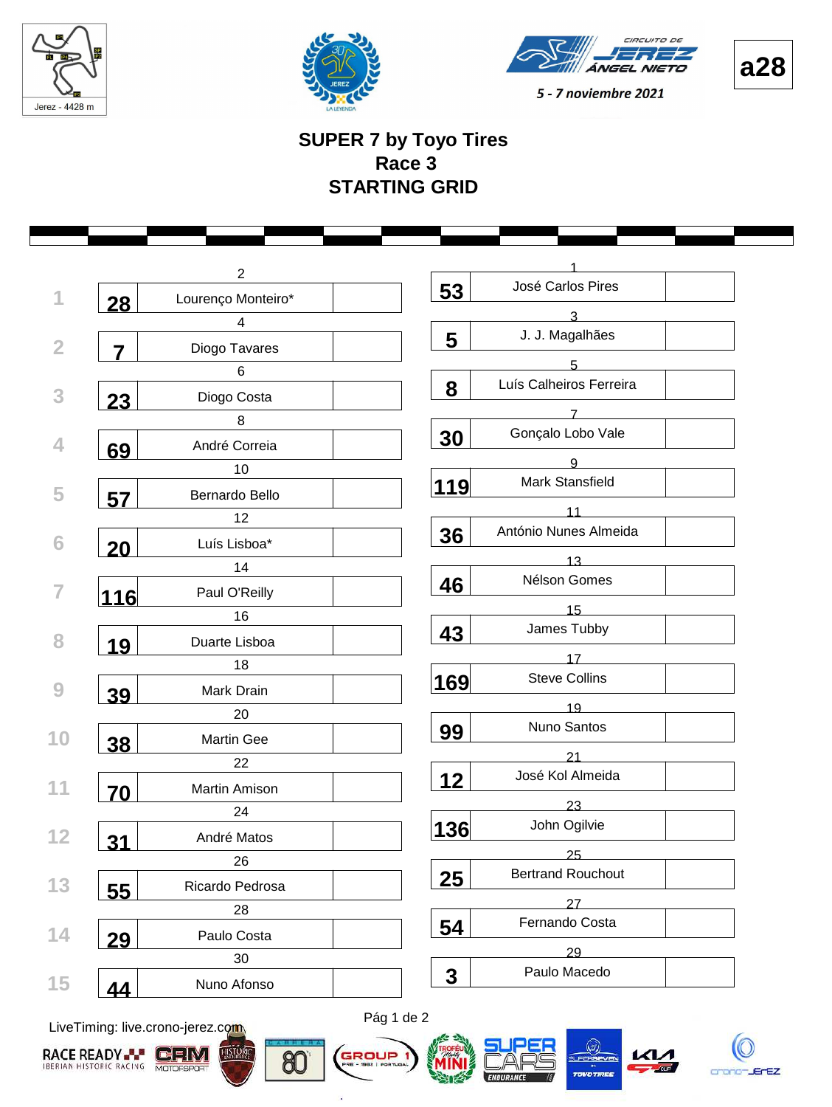







#### **SUPER 7 by Toyo Tires Race 3 STARTING GRID**

|                | $\overline{2}$     | José Carlos Pires              |  |
|----------------|--------------------|--------------------------------|--|
| 28             | Lourenço Monteiro* | 53                             |  |
|                | $\overline{4}$     | 3                              |  |
| $\overline{7}$ | Diogo Tavares      | J. J. Magalhães<br>5           |  |
|                | 6                  | 5                              |  |
| 23             | Diogo Costa        | Luís Calheiros Ferreira<br>8   |  |
|                | 8                  |                                |  |
| 69             | André Correia      | Gonçalo Lobo Vale<br>30        |  |
|                | 10                 | 9                              |  |
| 57             | Bernardo Bello     | Mark Stansfield<br>119         |  |
|                | 12                 | 11                             |  |
|                | Luís Lisboa*       | António Nunes Almeida<br>36    |  |
| <b>20</b>      | 14                 | 13                             |  |
|                | Paul O'Reilly      | Nélson Gomes<br>46             |  |
| <u> 116</u>    | 16                 | 15                             |  |
|                | Duarte Lisboa      | James Tubby<br>43              |  |
| 19             | 18                 | 17                             |  |
|                |                    | <b>Steve Collins</b><br>169    |  |
| 39             | Mark Drain         | 19                             |  |
|                | 20                 | Nuno Santos<br>99              |  |
| 38             | <b>Martin Gee</b>  | 21                             |  |
|                | 22                 | José Kol Almeida<br>12         |  |
| 70             | Martin Amison      |                                |  |
|                | 24                 | 23<br>John Ogilvie             |  |
| <u>31</u>      | André Matos        | 136                            |  |
|                | 26                 | 25                             |  |
| 55             | Ricardo Pedrosa    | <b>Bertrand Rouchout</b><br>25 |  |
|                | 28                 | 27                             |  |
| 29             | Paulo Costa        | Fernando Costa<br>54           |  |
|                | 30                 | 29                             |  |
| 44             | Nuno Afonso        | Paulo Macedo<br>3              |  |

LiveTiming: live.crono-jerez.com





ä